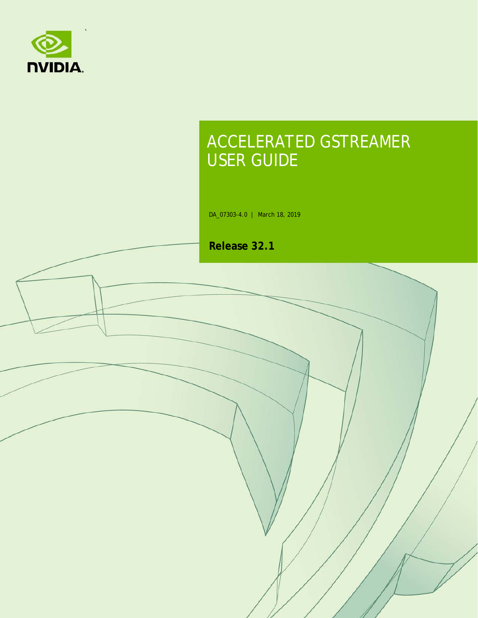

## ACCELERATED GSTREAMER USER GUIDE

DA\_07303-4.0 | March 18, 2019

**Release 32.1**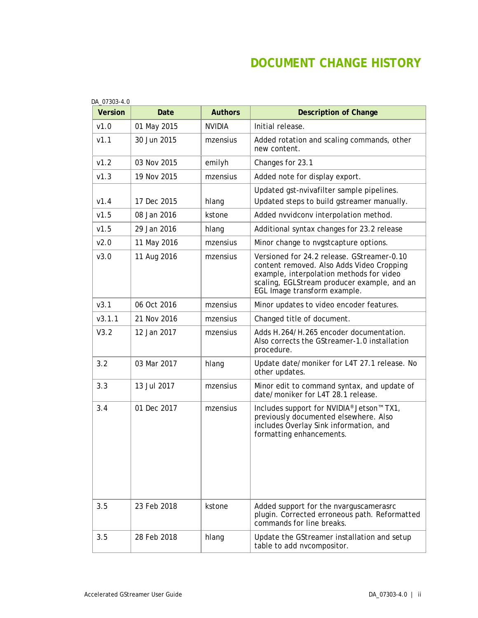### **DOCUMENT CHANGE HISTORY**

| <b>Version</b> | Date        | <b>Authors</b> | <b>Description of Change</b>                                                                                                                                                                                       |
|----------------|-------------|----------------|--------------------------------------------------------------------------------------------------------------------------------------------------------------------------------------------------------------------|
| v1.0           | 01 May 2015 | <b>NVIDIA</b>  | Initial release.                                                                                                                                                                                                   |
| V1.1           | 30 Jun 2015 | mzensius       | Added rotation and scaling commands, other<br>new content.                                                                                                                                                         |
| v1.2           | 03 Nov 2015 | emilyh         | Changes for 23.1                                                                                                                                                                                                   |
| v1.3           | 19 Nov 2015 | mzensius       | Added note for display export.                                                                                                                                                                                     |
| V1.4           | 17 Dec 2015 | hlang          | Updated gst-nvivafilter sample pipelines.<br>Updated steps to build gstreamer manually.                                                                                                                            |
| v1.5           | 08 Jan 2016 | kstone         | Added nvvidconv interpolation method.                                                                                                                                                                              |
| v1.5           | 29 Jan 2016 | hlang          | Additional syntax changes for 23.2 release                                                                                                                                                                         |
| v2.0           | 11 May 2016 | mzensius       | Minor change to nvgstcapture options.                                                                                                                                                                              |
| v3.0           | 11 Aug 2016 | mzensius       | Versioned for 24.2 release. GStreamer-0.10<br>content removed. Also Adds Video Cropping<br>example, interpolation methods for video<br>scaling, EGLStream producer example, and an<br>EGL Image transform example. |
| V3.1           | 06 Oct 2016 | mzensius       | Minor updates to video encoder features.                                                                                                                                                                           |
| V3.1.1         | 21 Nov 2016 | mzensius       | Changed title of document.                                                                                                                                                                                         |
| V3.2           | 12 Jan 2017 | mzensius       | Adds H.264/H.265 encoder documentation.<br>Also corrects the GStreamer-1.0 installation<br>procedure.                                                                                                              |
| 3.2            | 03 Mar 2017 | hlang          | Update date/moniker for L4T 27.1 release. No<br>other updates.                                                                                                                                                     |
| 3.3            | 13 Jul 2017 | mzensius       | Minor edit to command syntax, and update of<br>date/moniker for L4T 28.1 release.                                                                                                                                  |
| 3.4            | 01 Dec 2017 | mzensius       | Includes support for NVIDIA® Jetson™ TX1,<br>previously documented elsewhere. Also<br>includes Overlay Sink information, and<br>formatting enhancements.                                                           |
| 3.5            | 23 Feb 2018 | kstone         | Added support for the nvarguscamerasrc<br>plugin. Corrected erroneous path. Reformatted<br>commands for line breaks.                                                                                               |
| 3.5            | 28 Feb 2018 | hlang          | Update the GStreamer installation and setup<br>table to add nvcompositor.                                                                                                                                          |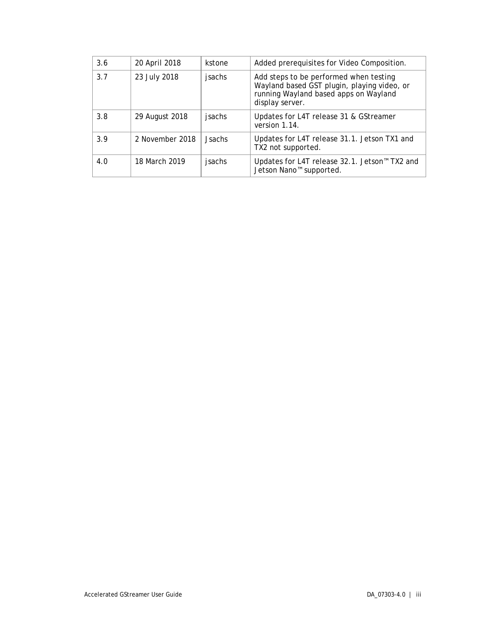| 3.6 | 20 April 2018   | kstone        | Added prerequisites for Video Composition.                                                                                                        |
|-----|-----------------|---------------|---------------------------------------------------------------------------------------------------------------------------------------------------|
| 3.7 | 23 July 2018    | jsachs        | Add steps to be performed when testing<br>Wayland based GST plugin, playing video, or<br>running Wayland based apps on Wayland<br>display server. |
| 3.8 | 29 August 2018  | jsachs        | Updates for L4T release 31 & GStreamer<br>version 1.14.                                                                                           |
| 3.9 | 2 November 2018 | <b>Jsachs</b> | Updates for L4T release 31.1. Jetson TX1 and<br>TX2 not supported.                                                                                |
| 4.0 | 18 March 2019   | jsachs        | Updates for L4T release 32.1. Jetson™ TX2 and<br>Jetson Nano <sup>™</sup> supported.                                                              |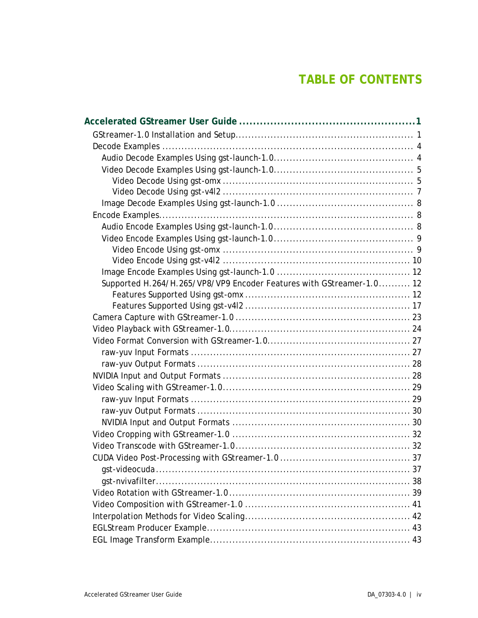### **TABLE OF CONTENTS**

| Supported H.264/H.265/VP8/VP9 Encoder Features with GStreamer-1.0 12 |  |
|----------------------------------------------------------------------|--|
|                                                                      |  |
|                                                                      |  |
|                                                                      |  |
|                                                                      |  |
|                                                                      |  |
|                                                                      |  |
|                                                                      |  |
|                                                                      |  |
|                                                                      |  |
|                                                                      |  |
|                                                                      |  |
|                                                                      |  |
|                                                                      |  |
|                                                                      |  |
|                                                                      |  |
|                                                                      |  |
|                                                                      |  |
|                                                                      |  |
|                                                                      |  |
|                                                                      |  |
|                                                                      |  |
|                                                                      |  |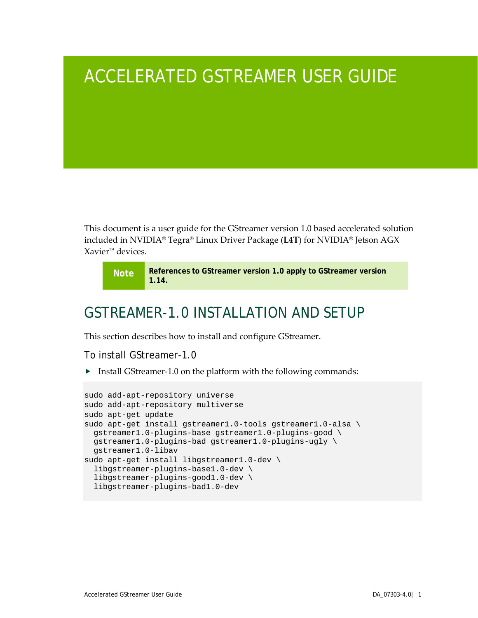## <span id="page-5-0"></span>ACCELERATED GSTREAMER USER GUIDE

This document is a user guide for the GStreamer version 1.0 based accelerated solution included in NVIDIA® Tegra® Linux Driver Package (**L4T**) for NVIDIA® Jetson AGX Xavier™ devices.

**Note References to GStreamer version 1.0 apply to GStreamer version 1.14.**

### <span id="page-5-1"></span>GSTREAMER-1.0 INSTALLATION AND SETUP

This section describes how to install and configure GStreamer.

To install GStreamer-1.0

Install GStreamer-1.0 on the platform with the following commands:

```
sudo add-apt-repository universe
sudo add-apt-repository multiverse
sudo apt-get update
sudo apt-get install gstreamer1.0-tools gstreamer1.0-alsa \
  gstreamer1.0-plugins-base gstreamer1.0-plugins-good \
  gstreamer1.0-plugins-bad gstreamer1.0-plugins-ugly \
  gstreamer1.0-libav
sudo apt-get install libgstreamer1.0-dev \
   libgstreamer-plugins-base1.0-dev \
   libgstreamer-plugins-good1.0-dev \
  libgstreamer-plugins-bad1.0-dev
```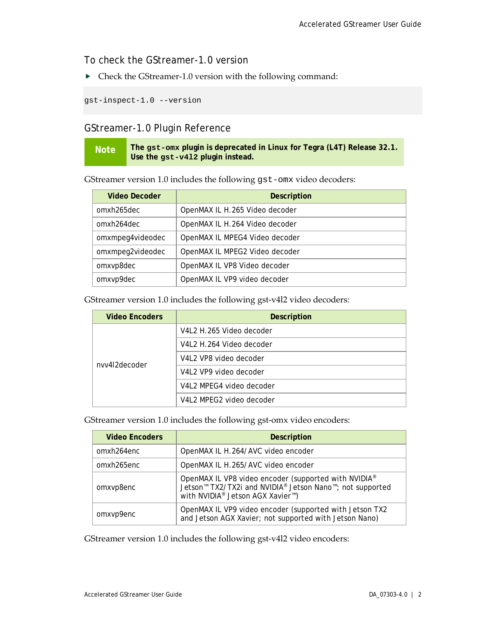To check the GStreamer-1.0 version

Check the GStreamer-1.0 version with the following command:

gst-inspect-1.0 --version

### GStreamer-1.0 Plugin Reference

**Note The gst-omx plugin is deprecated in Linux for Tegra (L4T) Release 32.1. Use the gst-v4l2 plugin instead.**

GStreamer version 1.0 includes the following gst-omx video decoders:

| <b>Video Decoder</b> | <b>Description</b>             |
|----------------------|--------------------------------|
| omxh265dec           | OpenMAX IL H.265 Video decoder |
| omxh264dec           | OpenMAX IL H.264 Video decoder |
| omxmpeg4videodec     | OpenMAX IL MPEG4 Video decoder |
| omxmpeg2videodec     | OpenMAX IL MPEG2 Video decoder |
| omxvp8dec            | OpenMAX IL VP8 Video decoder   |
| omxvp9dec            | OpenMAX IL VP9 video decoder   |

GStreamer version 1.0 includes the following gst-v4l2 video decoders:

| <b>Video Encoders</b> | <b>Description</b>       |
|-----------------------|--------------------------|
|                       | V4L2 H.265 Video decoder |
|                       | V4L2 H.264 Video decoder |
| nvv4l2decoder         | V4L2 VP8 video decoder   |
|                       | V4L2 VP9 video decoder   |
|                       | V4L2 MPEG4 video decoder |
|                       | V4L2 MPEG2 video decoder |

GStreamer version 1.0 includes the following gst-omx video encoders:

| <b>Video Encoders</b> | <b>Description</b>                                                                                                                                                                                                             |
|-----------------------|--------------------------------------------------------------------------------------------------------------------------------------------------------------------------------------------------------------------------------|
| omxh264enc            | OpenMAX IL H.264/AVC video encoder                                                                                                                                                                                             |
| omxh265enc            | OpenMAX IL H.265/AVC video encoder                                                                                                                                                                                             |
| omxvp8enc             | OpenMAX IL VP8 video encoder (supported with NVIDIA <sup>®</sup><br>Jetson <sup>™</sup> TX2/TX2i and NVIDIA <sup>®</sup> Jetson Nano <sup>™</sup> ; not supported<br>with NVIDIA <sup>®</sup> Jetson AGX Xavier <sup>™</sup> ) |
| omxvp9enc             | OpenMAX IL VP9 video encoder (supported with Jetson TX2<br>and Jetson AGX Xavier; not supported with Jetson Nano)                                                                                                              |

GStreamer version 1.0 includes the following gst-v4l2 video encoders: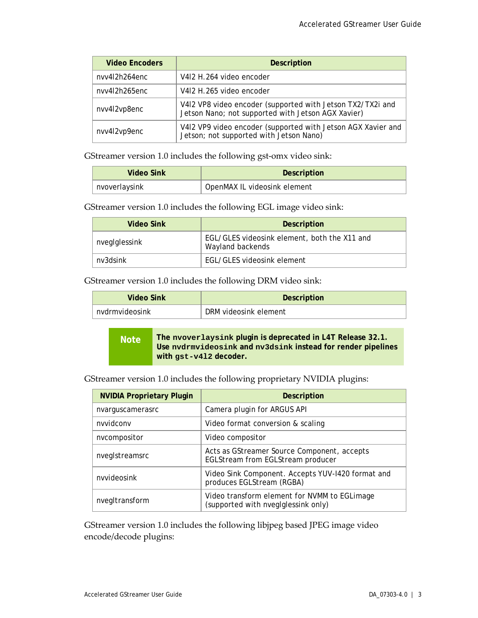| <b>Video Encoders</b> | <b>Description</b>                                                                                               |
|-----------------------|------------------------------------------------------------------------------------------------------------------|
| nvv4l2h264enc         | V4I2 H.264 video encoder                                                                                         |
| nvv4l2h265enc         | V412 H.265 video encoder                                                                                         |
| nvv4l2vp8enc          | V4I2 VP8 video encoder (supported with Jetson TX2/TX2i and<br>Jetson Nano; not supported with Jetson AGX Xavier) |
| nvv4l2vp9enc          | V4I2 VP9 video encoder (supported with Jetson AGX Xavier and<br>Jetson; not supported with Jetson Nano)          |

GStreamer version 1.0 includes the following gst-omx video sink:

| Video Sink    | <b>Description</b>           |
|---------------|------------------------------|
| nvoverlaysink | OpenMAX IL videosink element |

GStreamer version 1.0 includes the following EGL image video sink:

| Video Sink    | <b>Description</b>                                               |
|---------------|------------------------------------------------------------------|
| nvegIglessink | EGL/GLES videosink element, both the X11 and<br>Wayland backends |
| ny3dsink      | EGL/GLES videosink element                                       |

GStreamer version 1.0 includes the following DRM video sink:

| Video Sink     | Description           |
|----------------|-----------------------|
| nydrmyideosink | DRM videosink element |

**Note The nvoverlaysink plugin is deprecated in L4T Release 32.1. Use nvdrmvideosink and nv3dsink instead for render pipelines with gst-v4l2 decoder.**

GStreamer version 1.0 includes the following proprietary NVIDIA plugins:

| <b>NVIDIA Proprietary Plugin</b> | <b>Description</b>                                                                  |
|----------------------------------|-------------------------------------------------------------------------------------|
| nvarguscamerasrc                 | Camera plugin for ARGUS API                                                         |
| nvvidconv                        | Video format conversion & scaling                                                   |
| nvcompositor                     | Video compositor                                                                    |
| nvegIstreamsrc                   | Acts as GStreamer Source Component, accepts<br>EGLStream from EGLStream producer    |
| nvvideosink                      | Video Sink Component. Accepts YUV-1420 format and<br>produces EGLStream (RGBA)      |
| nvegItransform                   | Video transform element for NVMM to EGLimage<br>(supported with nveglglessink only) |

GStreamer version 1.0 includes the following libjpeg based JPEG image video encode/decode plugins: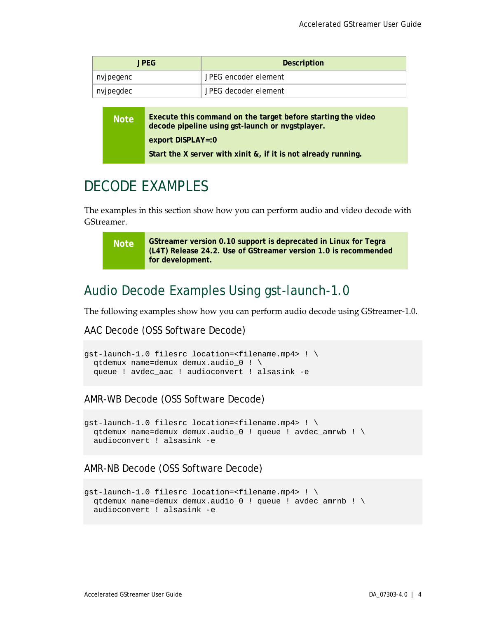| JPEG      | <b>Description</b>   |
|-----------|----------------------|
| nvjpegenc | JPEG encoder element |
| nvjpegdec | JPEG decoder element |

| <b>Note</b> | Execute this command on the target before starting the video<br>decode pipeline using gst-launch or nvgstplayer. |
|-------------|------------------------------------------------------------------------------------------------------------------|
|             | $export DISPLAY = 0$                                                                                             |
|             | Start the X server with xinit &, if it is not already running.                                                   |

### <span id="page-8-0"></span>DECODE EXAMPLES

The examples in this section show how you can perform audio and video decode with GStreamer.

**Note GStreamer version 0.10 support is deprecated in Linux for Tegra (L4T) Release 24.2. Use of GStreamer version 1.0 is recommended for development.**

### <span id="page-8-1"></span>Audio Decode Examples Using gst-launch-1.0

The following examples show how you can perform audio decode using GStreamer-1.0.

### AAC Decode (OSS Software Decode)

```
gst-launch-1.0 filesrc location=<filename.mp4> ! \
  qtdemux name=demux demux.audio_0 ! \
  queue ! avdec_aac ! audioconvert ! alsasink -e
```
### AMR-WB Decode (OSS Software Decode)

```
gst-launch-1.0 filesrc location=<filename.mp4> ! \
  qtdemux name=demux demux.audio_0 ! queue ! avdec_amrwb ! \
  audioconvert ! alsasink -e
```
### AMR-NB Decode (OSS Software Decode)

```
gst-launch-1.0 filesrc location=<filename.mp4> ! \
  qtdemux name=demux demux.audio_0 ! queue ! avdec_amrnb ! \
  audioconvert ! alsasink -e
```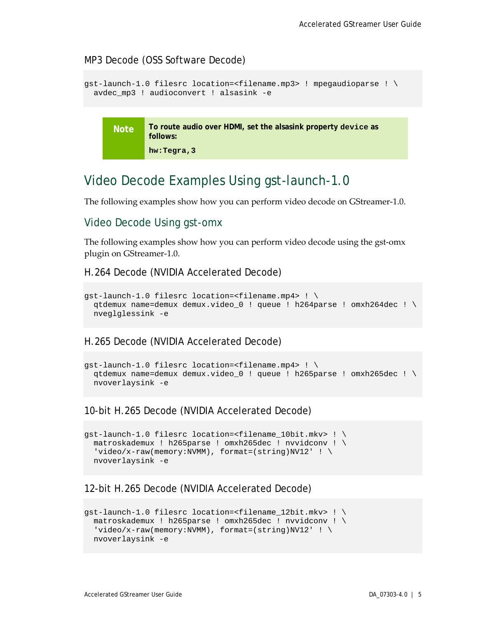#### MP3 Decode (OSS Software Decode)

```
gst-launch-1.0 filesrc location=<filename.mp3> ! mpegaudioparse ! \
  avdec_mp3 ! audioconvert ! alsasink -e
```
**Note To route audio over HDMI, set the alsasink property device as follows: hw:Tegra,3**

### <span id="page-9-0"></span>Video Decode Examples Using gst-launch-1.0

The following examples show how you can perform video decode on GStreamer-1.0.

### <span id="page-9-1"></span>Video Decode Using gst-omx

The following examples show how you can perform video decode using the gst-omx plugin on GStreamer-1.0.

#### H.264 Decode (NVIDIA Accelerated Decode)

```
gst-launch-1.0 filesrc location=<filename.mp4> ! \
  qtdemux name=demux demux.video_0 ! queue ! h264parse ! omxh264dec ! \
  nveglglessink -e
```
### H.265 Decode (NVIDIA Accelerated Decode)

```
gst-launch-1.0 filesrc location=<filename.mp4> ! \
  qtdemux name=demux demux.video_0 ! queue ! h265parse ! omxh265dec ! \
  nvoverlaysink -e
```
#### 10-bit H.265 Decode (NVIDIA Accelerated Decode)

```
gst-launch-1.0 filesrc location=<filename_10bit.mkv> ! \
  matroskademux ! h265parse ! omxh265dec ! nvvidconv ! \
 'video/x-raw(memory:NVMM), format=(string)NV12' ! \
  nvoverlaysink -e
```
#### 12-bit H.265 Decode (NVIDIA Accelerated Decode)

```
gst-launch-1.0 filesrc location=<filename_12bit.mkv> ! \
  matroskademux ! h265parse ! omxh265dec ! nvvidconv ! \
 'video/x-raw(memory:NVMM), format=(string)NV12' ! \
  nvoverlaysink -e
```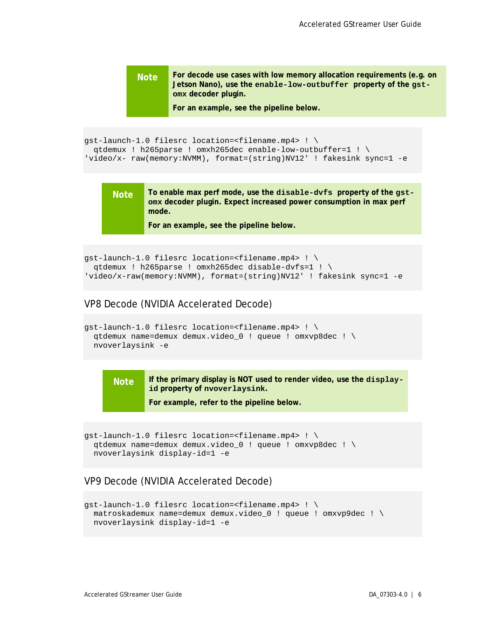```
Note For decode use cases with low memory allocation requirements (e.g. on 
        Jetson Nano), use the enable-low-outbuffer property of the gst-
        omx decoder plugin.
```
**For an example, see the pipeline below.**

```
gst-launch-1.0 filesrc location=<filename.mp4> ! \
  qtdemux ! h265parse ! omxh265dec enable-low-outbuffer=1 ! \
'video/x- raw(memory:NVMM), format=(string)NV12' ! fakesink sync=1 -e
```
**Note To enable max perf mode, use the disable-dvfs property of the gstomx decoder plugin. Expect increased power consumption in max perf mode.**

**For an example, see the pipeline below.**

```
gst-launch-1.0 filesrc location=<filename.mp4> ! \
  qtdemux ! h265parse ! omxh265dec disable-dvfs=1 ! \
'video/x-raw(memory:NVMM), format=(string)NV12' ! fakesink sync=1 -e
```
#### VP8 Decode (NVIDIA Accelerated Decode)

```
gst-launch-1.0 filesrc location=<filename.mp4> ! \
  qtdemux name=demux demux.video_0 ! queue ! omxvp8dec ! \
  nvoverlaysink -e
```


**For example, refer to the pipeline below.**

```
gst-launch-1.0 filesrc location=<filename.mp4> ! \
  qtdemux name=demux demux.video_0 ! queue ! omxvp8dec ! \
  nvoverlaysink display-id=1 -e
```
#### VP9 Decode (NVIDIA Accelerated Decode)

```
gst-launch-1.0 filesrc location=<filename.mp4> ! \
  matroskademux name=demux demux.video_0 ! queue ! omxvp9dec ! \
  nvoverlaysink display-id=1 -e
```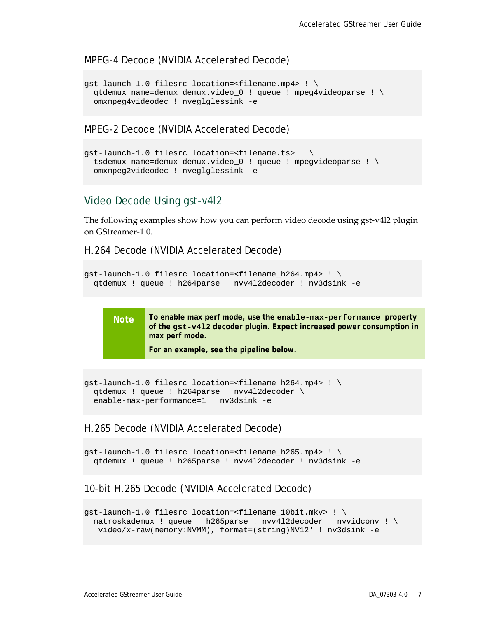#### MPEG-4 Decode (NVIDIA Accelerated Decode)

```
gst-launch-1.0 filesrc location=<filename.mp4> ! \
  qtdemux name=demux demux.video_0 ! queue ! mpeg4videoparse ! \
  omxmpeg4videodec ! nveglglessink -e
```
MPEG-2 Decode (NVIDIA Accelerated Decode)

```
gst-launch-1.0 filesrc location=<filename.ts> ! \
  tsdemux name=demux demux.video_0 ! queue ! mpegvideoparse ! \
  omxmpeg2videodec ! nveglglessink -e
```
### <span id="page-11-0"></span>Video Decode Using gst-v4l2

The following examples show how you can perform video decode using gst-v4l2 plugin on GStreamer-1.0.

H.264 Decode (NVIDIA Accelerated Decode)

```
gst-launch-1.0 filesrc location=<filename_h264.mp4> ! \
 qtdemux ! queue ! h264parse ! nvv4l2decoder ! nv3dsink -e
```


**Note To enable max perf mode, use the enable-max-performance property of the gst-v4l2 decoder plugin. Expect increased power consumption in max perf mode.**

**For an example, see the pipeline below.**

```
gst-launch-1.0 filesrc location=<filename_h264.mp4> ! \
  qtdemux ! queue ! h264parse ! nvv4l2decoder \
  enable-max-performance=1 ! nv3dsink -e
```
#### H.265 Decode (NVIDIA Accelerated Decode)

```
gst-launch-1.0 filesrc location=<filename_h265.mp4> ! \
 qtdemux ! queue ! h265parse ! nvv4l2decoder ! nv3dsink -e
```
#### 10-bit H.265 Decode (NVIDIA Accelerated Decode)

```
gst-launch-1.0 filesrc location=<filename_10bit.mkv> ! \
  matroskademux ! queue ! h265parse ! nvv4l2decoder ! nvvidconv ! \
   'video/x-raw(memory:NVMM), format=(string)NV12' ! nv3dsink -e
```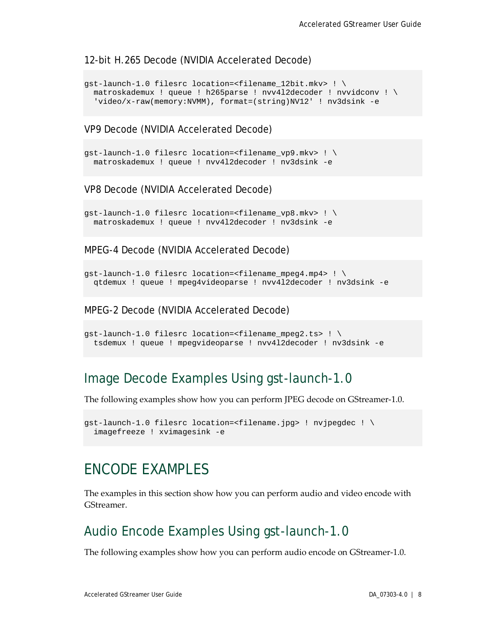#### 12-bit H.265 Decode (NVIDIA Accelerated Decode)

```
gst-launch-1.0 filesrc location=<filename_12bit.mkv> ! \
  matroskademux ! queue ! h265parse ! nvv4l2decoder ! nvvidconv ! \
   'video/x-raw(memory:NVMM), format=(string)NV12' ! nv3dsink -e
```
#### VP9 Decode (NVIDIA Accelerated Decode)

```
gst-launch-1.0 filesrc location=<filename_vp9.mkv> ! \
 matroskademux ! queue ! nvv4l2decoder ! nv3dsink -e
```
#### VP8 Decode (NVIDIA Accelerated Decode)

```
gst-launch-1.0 filesrc location=<filename_vp8.mkv> ! \
 matroskademux ! queue ! nvv4l2decoder ! nv3dsink -e
```
MPEG-4 Decode (NVIDIA Accelerated Decode)

```
qst-launch-1.0 filesrc location=<filename mpeg4.mp4> ! \setminus qtdemux ! queue ! mpeg4videoparse ! nvv4l2decoder ! nv3dsink -e
```
#### MPEG-2 Decode (NVIDIA Accelerated Decode)

```
gst-launch-1.0 filesrc location=<filename_mpeg2.ts> ! \
  tsdemux ! queue ! mpegvideoparse ! nvv4l2decoder ! nv3dsink -e
```
### <span id="page-12-0"></span>Image Decode Examples Using gst-launch-1.0

The following examples show how you can perform JPEG decode on GStreamer-1.0.

```
gst-launch-1.0 filesrc location=<filename.jpg> ! nvjpegdec ! \
   imagefreeze ! xvimagesink -e
```
### <span id="page-12-1"></span>ENCODE EXAMPLES

The examples in this section show how you can perform audio and video encode with GStreamer.

### <span id="page-12-2"></span>Audio Encode Examples Using gst-launch-1.0

The following examples show how you can perform audio encode on GStreamer-1.0.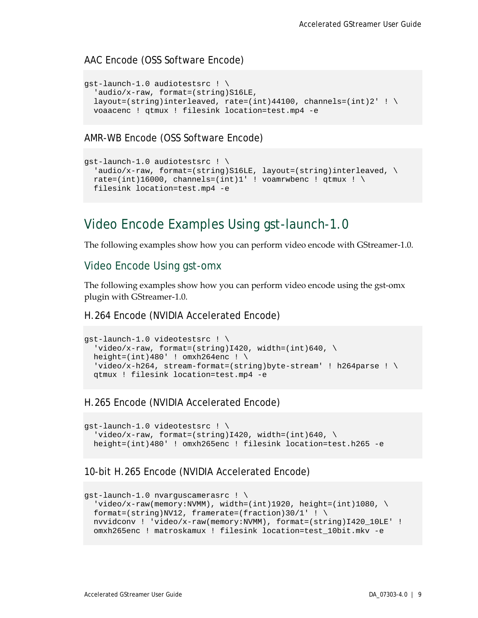#### AAC Encode (OSS Software Encode)

```
gst-launch-1.0 audiotestsrc ! \
  'audio/x-raw, format=(string)S16LE,
 layout=(string)interleaved, rate=(int)44100, channels=(int)2' ! \setminus voaacenc ! qtmux ! filesink location=test.mp4 -e
```
AMR-WB Encode (OSS Software Encode)

```
gst-launch-1.0 audiotestsrc ! \
  'audio/x-raw, format=(string)S16LE, layout=(string)interleaved, \setminusrate=(int)16000, channels=(int)1' ! voamrwbenc ! qtmux ! \setminus filesink location=test.mp4 -e
```
### <span id="page-13-0"></span>Video Encode Examples Using gst-launch-1.0

The following examples show how you can perform video encode with GStreamer-1.0.

#### <span id="page-13-1"></span>Video Encode Using gst-omx

The following examples show how you can perform video encode using the gst-omx plugin with GStreamer-1.0.

#### H.264 Encode (NVIDIA Accelerated Encode)

```
gst-launch-1.0 videotestsrc ! \
 'video/x-raw, format=(string)I420, width=(int)640, \setminusheight=(int)480' ! omxh264enc ! \setminus'video/x-h264, stream-format=(string)byte-stream' ! h264parse ! \setminus qtmux ! filesink location=test.mp4 -e
```
#### H.265 Encode (NVIDIA Accelerated Encode)

```
gst-launch-1.0 videotestsrc ! \
  'video/x-raw, format=(string)I420, width=(int)640, \setminus height=(int)480' ! omxh265enc ! filesink location=test.h265 -e
```
#### 10-bit H.265 Encode (NVIDIA Accelerated Encode)

```
gst-launch-1.0 nvarguscamerasrc ! \
  video/x-raw(memory:NVMM), width=(int)1920, height=(int)1080, \
 format=(string)NV12, framerate=(fraction)30/1' ! \
  nvvidconv ! 'video/x-raw(memory:NVMM), format=(string)I420_10LE' ! 
  omxh265enc ! matroskamux ! filesink location=test_10bit.mkv -e
```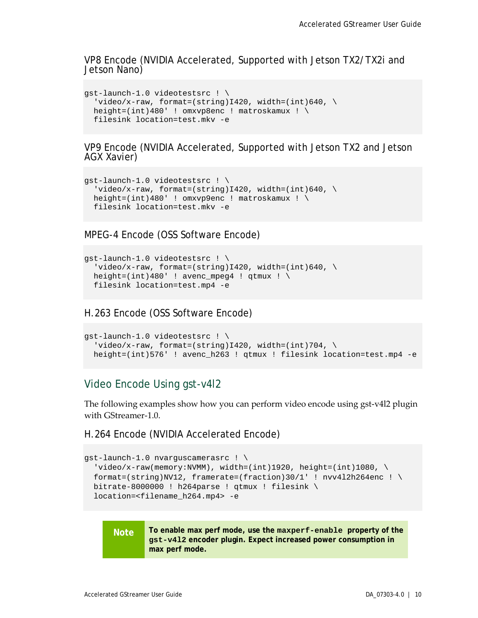VP8 Encode (NVIDIA Accelerated, Supported with Jetson TX2/TX2i and Jetson Nano)

```
gst-launch-1.0 videotestsrc ! \
  'video/x-raw, format=(string)I420, width=(int)640, \setminus height=(int)480' ! omxvp8enc ! matroskamux ! \
 filesink location=test.mkv -e
```
VP9 Encode (NVIDIA Accelerated, Supported with Jetson TX2 and Jetson AGX Xavier)

```
gst-launch-1.0 videotestsrc ! \
  'video/x-raw, format=(string)I420, width=(int)640, \
  height=(int)480' ! omxvp9enc ! matroskamux ! \
 filesink location=test.mkv -e
```
MPEG-4 Encode (OSS Software Encode)

```
gst-launch-1.0 videotestsrc ! \
  'video/x-raw, format=(string)I420, width=(int)640, \setminusheight=(int)480' ! avenc_mpeg4 ! qtmux ! \setminusfilesink location=test.mp4 -e
```
H.263 Encode (OSS Software Encode)

```
gst-launch-1.0 videotestsrc ! \
  'video/x-raw, format=(string)I420, width=(int)704, \setminus height=(int)576' ! avenc_h263 ! qtmux ! filesink location=test.mp4 -e
```
### <span id="page-14-0"></span>Video Encode Using gst-v4l2

The following examples show how you can perform video encode using gst-v4l2 plugin with GStreamer-1.0.

H.264 Encode (NVIDIA Accelerated Encode)

```
gst-launch-1.0 nvarguscamerasrc ! \
  'video/x-raw(memory:NVMM), width=(int)1920, height=(int)1080, \
 format=(string)NV12, framerate=(fraction)30/1' ! nvv412h264enc ! \setminusbitrate-8000000 ! h264parse ! qtmux ! filesink \
  location=<filename_h264.mp4> -e
```
**Note To enable max perf mode, use the maxperf-enable property of the gst-v4l2 encoder plugin. Expect increased power consumption in max perf mode.**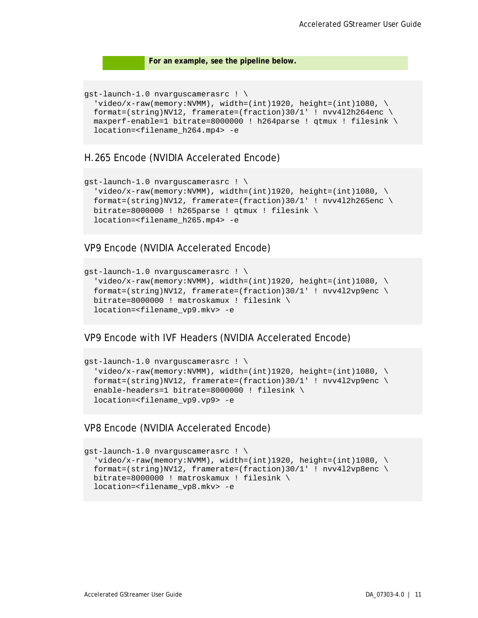#### **For an example, see the pipeline below.**

```
gst-launch-1.0 nvarguscamerasrc ! \
 video/x-raw(memory:NUMM), width=(int)1920, height=(int)1080, \
 format=(string)NV12, framerate=(fraction)30/1' ! nvd12h264enc \setminus maxperf-enable=1 bitrate=8000000 ! h264parse ! qtmux ! filesink \
  location=<filename_h264.mp4> -e
```
#### H.265 Encode (NVIDIA Accelerated Encode)

```
gst-launch-1.0 nvarguscamerasrc ! \
  video/x-raw(memory:NVMM), width=(int)1920, height=(int)1080, \
  format=(string)NV12, framerate=(fraction)30/1' ! nvv4l2h265enc \
 bitrate=8000000 ! h265parse ! qtmux ! filesink \
  location=<filename_h265.mp4> -e
```
#### VP9 Encode (NVIDIA Accelerated Encode)

```
gst-launch-1.0 nvarguscamerasrc ! \
   'video/x-raw(memory:NVMM), width=(int)1920, height=(int)1080, \
 format=(string)NV12, framerate=(fraction)30/1' ! nvv4l2vp9enc \
 bitrate=8000000 ! matroskamux ! filesink \
  location=<filename_vp9.mkv> -e
```
#### VP9 Encode with IVF Headers (NVIDIA Accelerated Encode)

```
gst-launch-1.0 nvarguscamerasrc ! \
  'video/x-raw(memory:NVMM), width=(int)1920, height=(int)1080, \
 format=(string)NV12, framerate=(fraction)30/1' ! nvv4l2vp9enc \
   enable-headers=1 bitrate=8000000 ! filesink \
  location=<filename_vp9.vp9> -e
```
#### VP8 Encode (NVIDIA Accelerated Encode)

```
gst-launch-1.0 nvarguscamerasrc ! \
  'video/x-raw(memory:NVMM), width=(int)1920, height=(int)1080, \
 format=(string)NV12, framerate=(fraction)30/1' ! nvv4l2vp8enc \
  bitrate=8000000 ! matroskamux ! filesink \
  location=<filename_vp8.mkv> -e
```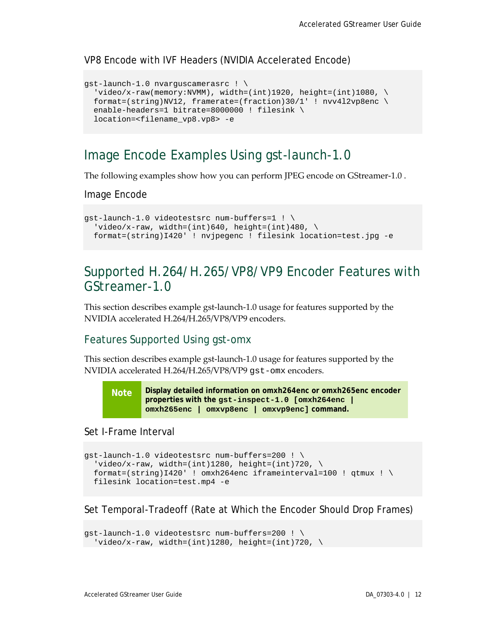#### VP8 Encode with IVF Headers (NVIDIA Accelerated Encode)

```
gst-launch-1.0 nvarguscamerasrc ! \
  video/x-raw(memory:NVMM), width=(int)1920, height=(int)1080, \
  format=(string)NV12, framerate=(fraction)30/1' ! nvv4l2vp8enc \
  enable-headers=1 bitrate=8000000 ! filesink \
   location=<filename_vp8.vp8> -e
```
### <span id="page-16-0"></span>Image Encode Examples Using gst-launch-1.0

The following examples show how you can perform JPEG encode on GStreamer-1.0 .

Image Encode

```
gst-launch-1.0 videotestsrc num-buffers=1 ! \
  'video/x-raw, width=(int)640, height=(int)480, \
  format=(string)I420' ! nvjpegenc ! filesink location=test.jpg -e
```
### <span id="page-16-1"></span>Supported H.264/H.265/VP8/VP9 Encoder Features with GStreamer-1.0

This section describes example gst-launch-1.0 usage for features supported by the NVIDIA accelerated H.264/H.265/VP8/VP9 encoders.

### <span id="page-16-2"></span>Features Supported Using gst-omx

This section describes example gst-launch-1.0 usage for features supported by the NVIDIA accelerated H.264/H.265/VP8/VP9 gst-omx encoders.

**Note Display detailed information on omxh264enc or omxh265enc encoder properties with the gst-inspect-1.0 [omxh264enc | omxh265enc | omxvp8enc | omxvp9enc] command.**

#### Set I-Frame Interval

```
gst-launch-1.0 videotestsrc num-buffers=200 ! \
  'video/x-raw, width=(int)1280, height=(int)720, \setminusformat=(string)I420' ! omxh264enc iframeinterval=100 ! qtmux ! \
 filesink location=test.mp4 -e
```
Set Temporal-Tradeoff (Rate at Which the Encoder Should Drop Frames)

```
gst-launch-1.0 videotestsrc num-buffers=200 ! \
 'video/x-raw, width=(int)1280, height=(int)720, \setminus
```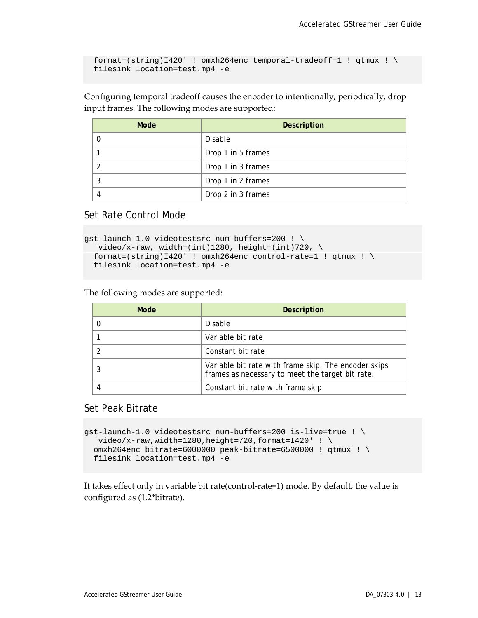```
format=(string)I420' ! omxh264enc temporal-tradeoff=1 ! qtmux ! \
filesink location=test.mp4 -e
```
Configuring temporal tradeoff causes the encoder to intentionally, periodically, drop input frames. The following modes are supported:

| Mode | <b>Description</b> |
|------|--------------------|
|      | Disable            |
|      | Drop 1 in 5 frames |
|      | Drop 1 in 3 frames |
|      | Drop 1 in 2 frames |
|      | Drop 2 in 3 frames |

Set Rate Control Mode

```
gst-launch-1.0 videotestsrc num-buffers=200 ! \
  'video/x-raw, width=(int)1280, height=(int)720, \
 format=(string)I420' ! omxh264enc control-rate=1 ! qtmux ! \
 filesink location=test.mp4 -e
```
The following modes are supported:

| Mode | <b>Description</b>                                                                                       |
|------|----------------------------------------------------------------------------------------------------------|
|      | Disable                                                                                                  |
|      | Variable bit rate                                                                                        |
|      | Constant bit rate                                                                                        |
|      | Variable bit rate with frame skip. The encoder skips<br>frames as necessary to meet the target bit rate. |
|      | Constant bit rate with frame skip                                                                        |

#### Set Peak Bitrate

```
gst-launch-1.0 videotestsrc num-buffers=200 is-live=true ! \
  'video/x-raw,width=1280,height=720,format=I420' ! \
 omxh264enc bitrate=6000000 peak-bitrate=6500000 ! qtmux ! \
 filesink location=test.mp4 -e
```
It takes effect only in variable bit rate(control-rate=1) mode. By default, the value is configured as (1.2\*bitrate).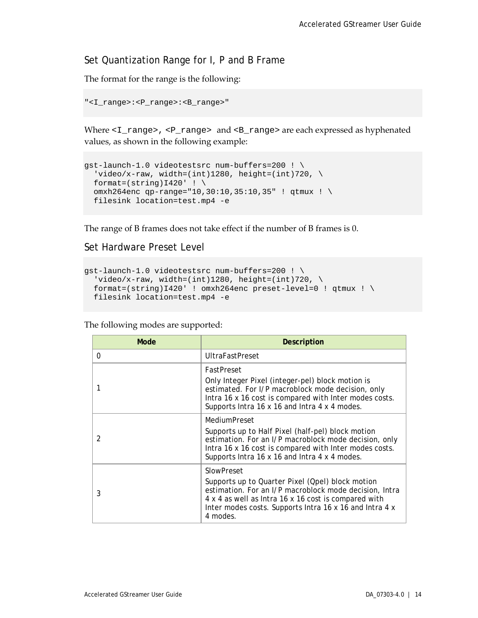### Set Quantization Range for I, P and B Frame

The format for the range is the following:

```
"<I_range>:<P_range>:<B_range>"
```
Where  $\langle I_{\text{range}} \rangle$ ,  $\langle I_{\text{range}} \rangle$  and  $\langle I_{\text{range}} \rangle$  are each expressed as hyphenated values, as shown in the following example:

```
gst-launch-1.0 videotestsrc num-buffers=200 ! \
 'video/x-raw, width=(int)1280, height=(int)720, \setminusformat=(string)I420' ! \
 omxh264enc qp-range="10,30:10,35:10,35" ! qtmux ! \
 filesink location=test.mp4 -e
```
The range of B frames does not take effect if the number of B frames is 0.

Set Hardware Preset Level

```
gst-launch-1.0 videotestsrc num-buffers=200 ! \
  'video/x-raw, width=(int)1280, height=(int)720, \setminus format=(string)I420' ! omxh264enc preset-level=0 ! qtmux ! \
 filesink location=test.mp4 -e
```
The following modes are supported:

| <b>Mode</b> | <b>Description</b>                                                                                                                                                                                                                                      |
|-------------|---------------------------------------------------------------------------------------------------------------------------------------------------------------------------------------------------------------------------------------------------------|
| 0           | <b>UltraFastPreset</b>                                                                                                                                                                                                                                  |
|             | FastPreset<br>Only Integer Pixel (integer-pel) block motion is<br>estimated. For I/P macroblock mode decision, only<br>Intra 16 x 16 cost is compared with Inter modes costs.<br>Supports Intra 16 x 16 and Intra 4 x 4 modes.                          |
| 2           | MediumPreset<br>Supports up to Half Pixel (half-pel) block motion<br>estimation. For an I/P macroblock mode decision, only<br>Intra 16 x 16 cost is compared with Inter modes costs.<br>Supports Intra 16 x 16 and Intra 4 x 4 modes.                   |
| 3           | SlowPreset<br>Supports up to Quarter Pixel (Qpel) block motion<br>estimation. For an I/P macroblock mode decision, Intra<br>4 x 4 as well as Intra 16 x 16 cost is compared with<br>Inter modes costs. Supports Intra 16 x 16 and Intra 4 x<br>4 modes. |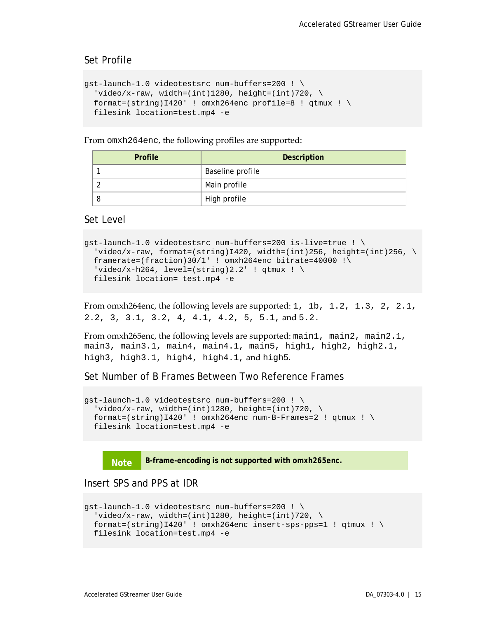#### Set Profile

```
gst-launch-1.0 videotestsrc num-buffers=200 ! \
  'video/x-raw, width=(int)1280, height=(int)720, \
  format=(string)I420' ! omxh264enc profile=8 ! qtmux ! \setminusfilesink location=test.mp4 -e
```
From omxh264enc, the following profiles are supported:

| <b>Profile</b> | <b>Description</b> |
|----------------|--------------------|
|                | Baseline profile   |
|                | Main profile       |
|                | High profile       |

Set Level

```
gst-launch-1.0 videotestsrc num-buffers=200 is-live=true ! \
 'video/x-raw, format=(string)I420, width=(int)256, height=(int)256, \setminusframerate=(fraction)30/1' ! omxh264enc bitrate=40000 !\
 'video/x-h264, level=(string)2.2' ! qtmux ! \setminusfilesink location= test.mp4 -e
```
From omxh264enc, the following levels are supported: 1, 1b, 1.2, 1.3, 2, 2.1, 2.2, 3, 3.1, 3.2, 4, 4.1, 4.2, 5, 5.1, and 5.2.

From omxh265enc, the following levels are supported: main1, main2, main2.1, main3, main3.1, main4, main4.1, main5, high1, high2, high2.1, high3, high3.1, high4, high4.1, and high5.

Set Number of B Frames Between Two Reference Frames

```
gst-launch-1.0 videotestsrc num-buffers=200 ! \
  'video/x-raw, width=(int)1280, height=(int)720, \setminusformat=(string)I420' ! omxh264enc num-B-Frames=2 ! qtmux ! \setminusfilesink location=test.mp4 -e
```


Insert SPS and PPS at IDR

```
gst-launch-1.0 videotestsrc num-buffers=200 ! \
 'video/x-raw, width=(int)1280, height=(int)720, \
 format=(string)I420' ! omxh264enc insert-sps-pps=1 ! qtmux ! \setminusfilesink location=test.mp4 -e
```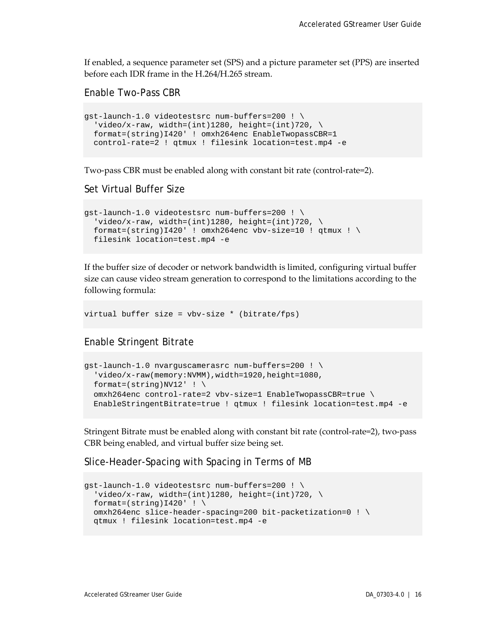If enabled, a sequence parameter set (SPS) and a picture parameter set (PPS) are inserted before each IDR frame in the H.264/H.265 stream.

Enable Two-Pass CBR

```
gst-launch-1.0 videotestsrc num-buffers=200 ! \
  'video/x-raw, width=(int)1280, height=(int)720, \
 format=(string)I420' ! omxh264enc EnableTwopassCBR=1
 control-rate=2 ! qtmux ! filesink location=test.mp4 -e
```
Two-pass CBR must be enabled along with constant bit rate (control-rate=2).

Set Virtual Buffer Size

```
gst-launch-1.0 videotestsrc num-buffers=200 ! \
  'video/x-raw, width=(int)1280, height=(int)720, \
 format=(string)I420' ! omxh264enc vbv-size=10 ! qtmux ! \setminusfilesink location=test.mp4 -e
```
If the buffer size of decoder or network bandwidth is limited, configuring virtual buffer size can cause video stream generation to correspond to the limitations according to the following formula:

```
virtual buffer size = vbv-size * (bitrate/fps)
```
Enable Stringent Bitrate

```
gst-launch-1.0 nvarguscamerasrc num-buffers=200 ! \
  'video/x-raw(memory:NVMM),width=1920,height=1080,
 format=(string)NV12' ! \setminusomxh264enc control-rate=2 vbv-size=1 EnableTwopassCBR=true \
  EnableStringentBitrate=true ! qtmux ! filesink location=test.mp4 -e
```
Stringent Bitrate must be enabled along with constant bit rate (control-rate=2), two-pass CBR being enabled, and virtual buffer size being set.

Slice-Header-Spacing with Spacing in Terms of MB

```
gst-launch-1.0 videotestsrc num-buffers=200 ! \
 'video/x-raw, width=(int)1280, height=(int)720, \backslashformat=(string)1420' ! \
 omxh264enc slice-header-spacing=200 bit-packetization=0 ! \
 qtmux ! filesink location=test.mp4 -e
```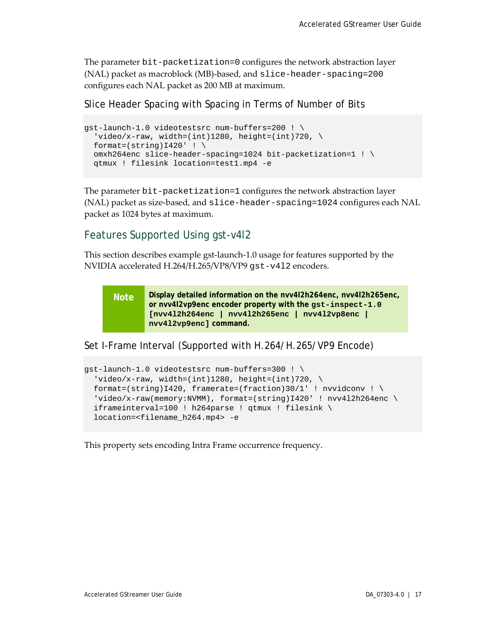The parameter bit-packetization=0 configures the network abstraction layer (NAL) packet as macroblock (MB)-based, and slice-header-spacing=200 configures each NAL packet as 200 MB at maximum.

### Slice Header Spacing with Spacing in Terms of Number of Bits

```
gst-launch-1.0 videotestsrc num-buffers=200 ! \
  'video/x-raw, width=(int)1280, height=(int)720, \setminusformat=(string)I420' ! \
 omxh264enc slice-header-spacing=1024 bit-packetization=1 ! \
 qtmux ! filesink location=test1.mp4 -e
```
The parameter bit-packetization=1 configures the network abstraction layer (NAL) packet as size-based, and slice-header-spacing=1024 configures each NAL packet as 1024 bytes at maximum.

### <span id="page-21-0"></span>Features Supported Using gst-v4l2

This section describes example gst-launch-1.0 usage for features supported by the NVIDIA accelerated H.264/H.265/VP8/VP9 gst-v4l2 encoders.

**Note Display detailed information on the nvv4l2h264enc, nvv4l2h265enc, or nvv4l2vp9enc encoder property with the gst-inspect-1.0 [nvv4l2h264enc | nvv4l2h265enc | nvv4l2vp8enc | nvv4l2vp9enc] command.**

Set I-Frame Interval (Supported with H.264/H.265/VP9 Encode)

```
gst-launch-1.0 videotestsrc num-buffers=300 ! \
  'video/x-raw, width=(int)1280, height=(int)720, \setminusformat=(string)I420, framerate=(fraction)30/1' ! nvvidconv ! \setminus'video/x-raw(memory:NVMM), format=(string)I420' ! nvv4l2h264enc \
  iframeinterval=100 ! h264parse ! qtmux ! filesink \
  location=<filename_h264.mp4> -e
```
This property sets encoding Intra Frame occurrence frequency.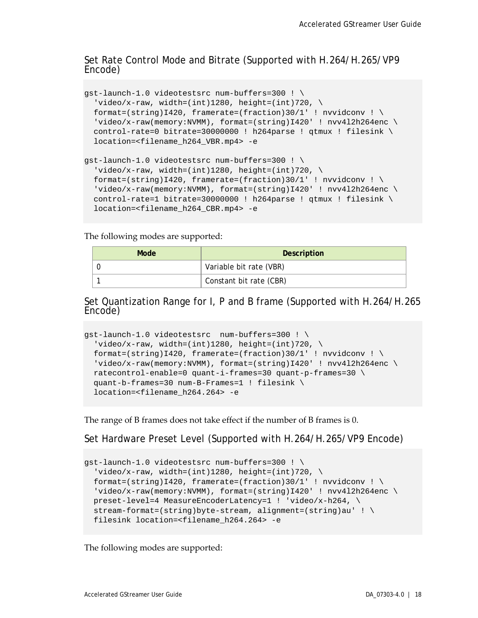## Set Rate Control Mode and Bitrate (Supported with H.264/H.265/VP9 Encode)

```
gst-launch-1.0 videotestsrc num-buffers=300 ! \
  'video/x-raw, width=(int)1280, height=(int)720, \
 format=(string)I420, framerate=(fraction)30/1' ! nvvidconv ! \setminus'video/x-raw(memory:NVMM), format=(string)I420' ! nvv4l2h264enc \
 control-rate=0 bitrate=30000000 ! h264parse ! qtmux ! filesink \
 location=<filename_h264_VBR.mp4> -e
gst-launch-1.0 videotestsrc num-buffers=300 ! \
  'video/x-raw, width=(int)1280, height=(int)720, \
 format=(string)I420, framerate=(fraction)30/1' ! nvvidconv ! \
  'video/x-raw(memory:NVMM), format=(string)I420' ! nvv4l2h264enc \
 control-rate=1 bitrate=30000000 ! h264parse ! qtmux ! filesink \
 location=<filename_h264_CBR.mp4> -e
```
The following modes are supported:

| Mode | Description             |
|------|-------------------------|
|      | Variable bit rate (VBR) |
|      | Constant bit rate (CBR) |

## Set Quantization Range for I, P and B frame (Supported with H.264/H.265 Encode)

```
gst-launch-1.0 videotestsrc num-buffers=300 ! \
  'video/x-raw, width=(int)1280, height=(int)720, \
 format=(string)I420, framerate=(fraction)30/1' ! nvvidconv ! \
  'video/x-raw(memory:NVMM), format=(string)I420' ! nvv4l2h264enc \
 ratecontrol-enable=0 quant-i-frames=30 quant-p-frames=30 \
   quant-b-frames=30 num-B-Frames=1 ! filesink \
 location=<filename_h264.264> -e
```
The range of B frames does not take effect if the number of B frames is 0.

Set Hardware Preset Level (Supported with H.264/H.265/VP9 Encode)

```
gst-launch-1.0 videotestsrc num-buffers=300 ! \
  'video/x-raw, width=(int)1280, height=(int)720, \setminusformat=(string)I420, framerate=(fraction)30/1' ! nvvidconv ! \
  'video/x-raw(memory:NVMM), format=(string)I420' ! nvv412h264enc \
  preset-level=4 MeasureEncoderLatency=1 ! 'video/x-h264, \
  stream-format=(string)byte-stream, alignment=(string)au' ! \
  filesink location=<filename_h264.264> -e
```
The following modes are supported: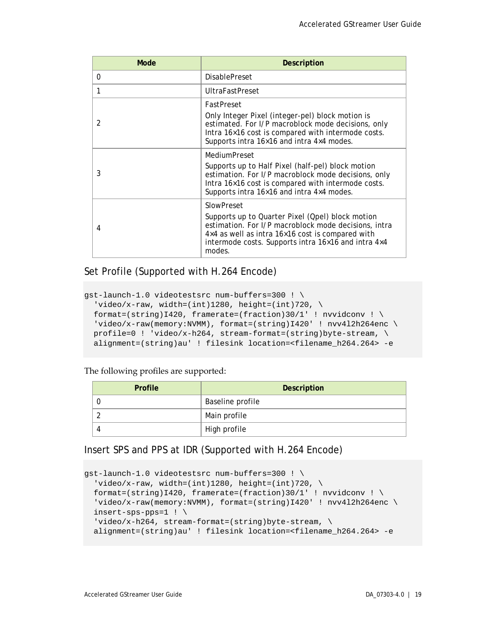| Mode          | <b>Description</b>                                                                                                                                                                                                                          |
|---------------|---------------------------------------------------------------------------------------------------------------------------------------------------------------------------------------------------------------------------------------------|
| 0             | <b>DisablePreset</b>                                                                                                                                                                                                                        |
| 1             | <b>UltraFastPreset</b>                                                                                                                                                                                                                      |
| $\mathcal{P}$ | <b>FastPreset</b><br>Only Integer Pixel (integer-pel) block motion is<br>estimated. For I/P macroblock mode decisions, only<br>Intra 16×16 cost is compared with intermode costs.<br>Supports intra 16×16 and intra 4×4 modes.              |
| 3             | <b>MediumPreset</b><br>Supports up to Half Pixel (half-pel) block motion<br>estimation. For I/P macroblock mode decisions, only<br>Intra 16×16 cost is compared with intermode costs.<br>Supports intra 16×16 and intra 4×4 modes.          |
| 4             | SlowPreset<br>Supports up to Quarter Pixel (Qpel) block motion<br>estimation. For I/P macroblock mode decisions, intra<br>4×4 as well as intra 16×16 cost is compared with<br>intermode costs. Supports intra 16×16 and intra 4×4<br>modes. |

### Set Profile (Supported with H.264 Encode)

```
gst-launch-1.0 videotestsrc num-buffers=300 ! \
  'video/x-raw, width=(int)1280, height=(int)720, \setminusformat=(string)I420, framerate=(fraction)30/1' ! nvvidconv ! \
  'video/x-raw(memory:NVMM), format=(string)I420' ! nvv4l2h264enc \
 profile=0 ! video/x-h264, stream-format=(string)byte-stream, \ \ \ \ \ \alignment=(string)au' ! filesink location=<filename_h264.264> -e
```
The following profiles are supported:

| <b>Profile</b> | Description      |
|----------------|------------------|
|                | Baseline profile |
|                | Main profile     |
|                | High profile     |

### Insert SPS and PPS at IDR (Supported with H.264 Encode)

```
gst-launch-1.0 videotestsrc num-buffers=300 ! \
 'video/x-raw, width=(int)1280, height=(int)720, \setminusformat=(string)I420, framerate=(fraction)30/1' ! nvvidconv ! \
  'video/x-raw(memory:NVMM), format=(string)I420' ! nvv4l2h264enc \
 insert-sps-pps=1 ! \
   'video/x-h264, stream-format=(string)byte-stream, \
 alignment=(string)au' ! filesink location=<filename_h264.264> -e
```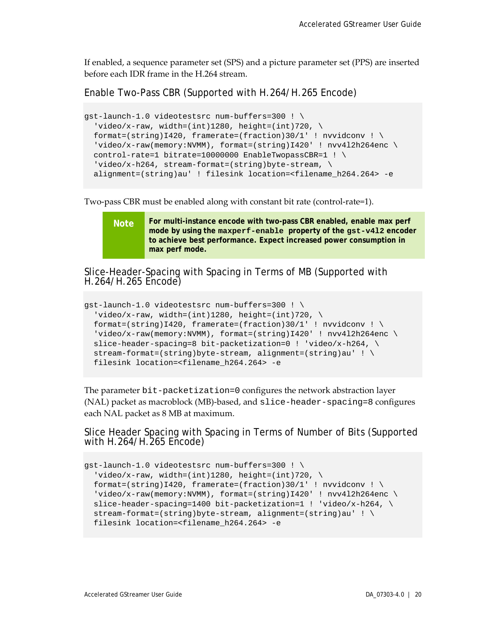If enabled, a sequence parameter set (SPS) and a picture parameter set (PPS) are inserted before each IDR frame in the H.264 stream.

Enable Two-Pass CBR (Supported with H.264/H.265 Encode)

```
gst-launch-1.0 videotestsrc num-buffers=300 ! \
  'video/x-raw, width=(int)1280, height=(int)720, \setminusformat=(string)I420, framerate=(fraction)30/1' ! nvvidconv ! \setminus'video/x-raw(memory:NVMM), format=(string)I420' ! nvv4l2h264enc \
 control-rate=1 bitrate=10000000 EnableTwopassCBR=1 ! \
  video/x-h264, stream-format=(string)byte-stream, \
  alignment=(string)au' ! filesink location=<filename_h264.264> -e
```
Two-pass CBR must be enabled along with constant bit rate (control-rate=1).

**Note For multi-instance encode with two-pass CBR enabled, enable max perf mode by using the maxperf-enable property of the gst-v4l2 encoder to achieve best performance. Expect increased power consumption in max perf mode.**

Slice-Header-Spacing with Spacing in Terms of MB (Supported with H.264/H.265 Encode)

```
gst-launch-1.0 videotestsrc num-buffers=300 ! \
  'video/x-raw, width=(int)1280, height=(int)720, \backslashformat=(string)I420, framerate=(fraction)30/1' ! nvvidconv ! \
  'video/x-raw(memory:NVMM), format=(string)I420' ! nvv4l2h264enc \
 slice-header-spacing=8 bit-packetization=0 ! 'video/x-h264, \
 stream-format=(string) byte-stream, alignment=(string)au' ! \ \ \ \ \ filesink location=<filename_h264.264> -e
```
The parameter bit-packetization=0 configures the network abstraction layer (NAL) packet as macroblock (MB)-based, and slice-header-spacing=8 configures each NAL packet as 8 MB at maximum.

Slice Header Spacing with Spacing in Terms of Number of Bits (Supported with H.264/H.265 Encode)

```
gst-launch-1.0 videotestsrc num-buffers=300 ! \
  'video/x-raw, width=(int)1280, height=(int)720, \setminusformat=(string)I420, framerate=(fraction)30/1' ! nvvidconv ! \
  'video/x-raw(memory:NVMM), format=(string)I420' ! nvv4l2h264enc \
 slice-header-spacing=1400 bit-packetization=1 ! 'video/x-h264, \
  stream-format=(string)byte-stream, alignment=(string)au' ! \
  filesink location=<filename_h264.264> -e
```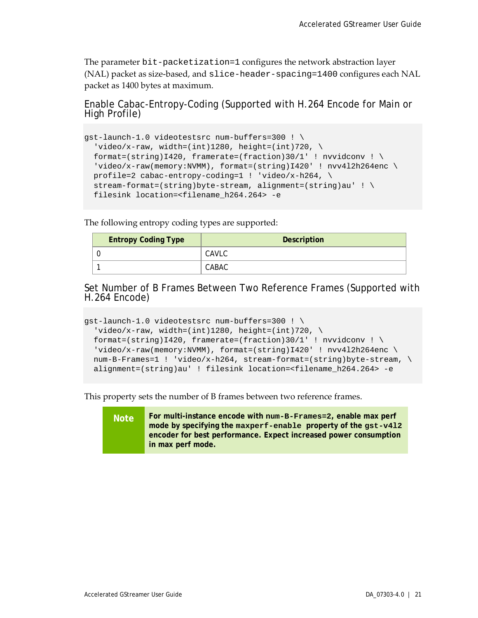The parameter bit-packetization=1 configures the network abstraction layer (NAL) packet as size-based, and slice-header-spacing=1400 configures each NAL packet as 1400 bytes at maximum.

Enable Cabac-Entropy-Coding (Supported with H.264 Encode for Main or High Profile)

```
gst-launch-1.0 videotestsrc num-buffers=300 ! \
  'video/x-raw, width=(int)1280, height=(int)720, \
  format=(string)I420, framerate=(fraction)30/1' ! nvvidconv ! \setminus'video/x-raw(memory:NVMM), format=(string)I420' ! nvv4l2h264enc \
 profile=2 cabac-entropy-coding=1 ! 'video/x-h264, \
 stream-format=(string)byte-stream, alignment=(string)au' ! \setminus filesink location=<filename_h264.264> -e
```
The following entropy coding types are supported:

| <b>Entropy Coding Type</b> | <b>Description</b> |
|----------------------------|--------------------|
|                            | CAVLC              |
|                            | CABAC              |

Set Number of B Frames Between Two Reference Frames (Supported with H.264 Encode)

```
gst-launch-1.0 videotestsrc num-buffers=300 ! \
  'video/x-raw, width=(int)1280, height=(int)720, \setminusformat=(string)I420, framerate=(fraction)30/1' ! nvvidconv ! \setminus'video/x-raw(memory:NVMM), format=(string)I420' ! nvv4l2h264enc \
  num-B-Frames=1 ! 'video/x-h264, stream-format=(string)byte-stream, \
 alignment=(string)au' ! filesink location=<filename_h264.264> -e
```
This property sets the number of B frames between two reference frames.

**Note For multi-instance encode with num-B-Frames=2, enable max perf mode by specifying the maxperf-enable property of the gst-v4l2 encoder for best performance. Expect increased power consumption in max perf mode.**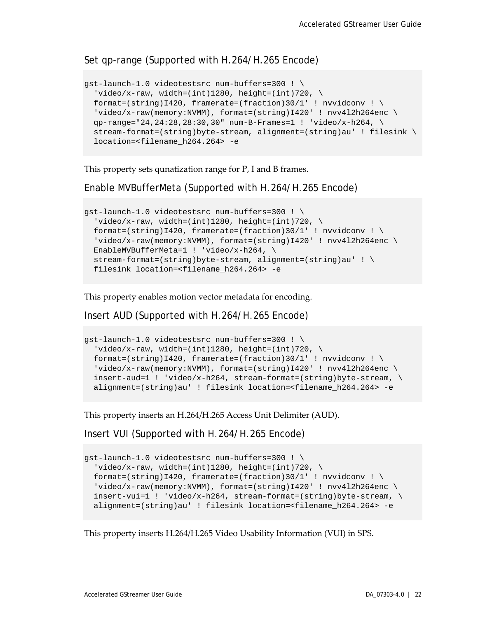### Set qp-range (Supported with H.264/H.265 Encode)

```
gst-launch-1.0 videotestsrc num-buffers=300 ! \
  'video/x-raw, width=(int)1280, height=(int)720, \setminusformat=(string)I420, framerate=(fraction)30/1' ! nvvidconv ! \setminus'video/x-raw(memory:NVMM), format=(string)I420' ! nvv4l2h264enc \
 qp-range="24,24:28,28:30,30" num-B-Frames=1 ! 'video/x-h264, \
  stream-format=(string)byte-stream, alignment=(string)au' ! filesink \
 location=<filename_h264.264> -e
```
This property sets qunatization range for P, I and B frames.

Enable MVBufferMeta (Supported with H.264/H.265 Encode)

```
gst-launch-1.0 videotestsrc num-buffers=300 ! \
  'video/x-raw, width=(int)1280, height=(int)720, \setminusformat=(string)I420, framerate=(fraction)30/1' ! nvvidconv ! \setminus'video/x-raw(memory:NVMM), format=(string)I420' ! nvv412h264enc \
 EnableMVBufferMeta=1 ! 'video/x-h264, \
   stream-format=(string)byte-stream, alignment=(string)au' ! \
  filesink location=<filename_h264.264> -e
```
This property enables motion vector metadata for encoding.

Insert AUD (Supported with H.264/H.265 Encode)

```
gst-launch-1.0 videotestsrc num-buffers=300 ! \
  'video/x-raw, width=(int)1280, height=(int)720, \backslashformat=(string)I420, framerate=(fraction)30/1' ! nvvidconv ! \setminus'video/x-raw(memory:NVMM), format=(string)I420' ! nvv412h264enc \
 insert -aud =1 ! video/x-h264, stream-formate(sstring)byte-stream, \Diamondalignment=(string)au' ! filesink location=<filename_h264.264> -e
```
This property inserts an H.264/H.265 Access Unit Delimiter (AUD).

Insert VUI (Supported with H.264/H.265 Encode)

```
gst-launch-1.0 videotestsrc num-buffers=300 ! \
  'video/x-raw, width=(int)1280, height=(int)720, \backslashformat=(string)I420, framerate=(fraction)30/1' ! nvvidconv ! \
  'video/x-raw(memory:NVMM), format=(string)I420' ! nvv4l2h264enc \
 insert-vui=1 ! video/x-h264, stream-format=(string)byte-stream, \ \ \ \ \ \ \alignment=(string)au' ! filesink location=<filename_h264.264> -e
```
This property inserts H.264/H.265 Video Usability Information (VUI) in SPS.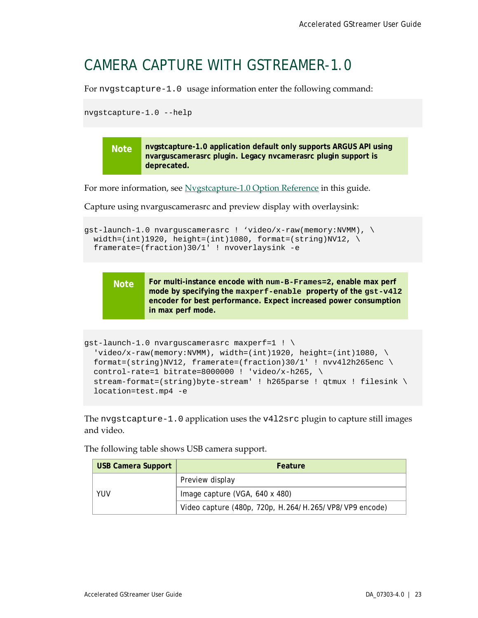### <span id="page-27-0"></span>CAMERA CAPTURE WITH GSTREAMER-1.0

For nvgstcapture-1.0 usage information enter the following command:

nvgstcapture-1.0 --help

**Note nvgstcapture-1.0 application default only supports ARGUS API using nvarguscamerasrc plugin. Legacy nvcamerasrc plugin support is deprecated.**

For more information, see [Nvgstcapture-1.0 Option Reference](#page-52-0) in this guide.

Capture using nvarguscamerasrc and preview display with overlaysink:

```
gst-launch-1.0 nvarguscamerasrc ! 'video/x-raw(memory:NVMM), \
 width=(int)1920, height=(int)1080, format=(string)NV12, \setminus framerate=(fraction)30/1' ! nvoverlaysink -e
```
**Note For multi-instance encode with num-B-Frames=2, enable max perf mode by specifying the maxperf-enable property of the gst-v4l2 encoder for best performance. Expect increased power consumption in max perf mode.**

```
gst-launch-1.0 nvarguscamerasrc maxperf=1 ! \
  video/x-raw(memory:NVMM), width=(int)1920, height=(int)1080, \
 format=(string)NV12, framerate=(fraction)30/1' ! nvv412h265enc \setminuscontrol-rate=1 bitrate=8000000 ! 'video/x-h265, \
  stream-format=(string)byte-stream' ! h265parse ! qtmux ! filesink \
 location=test.mp4 -e
```
The nvgstcapture-1.0 application uses the v4l2src plugin to capture still images and video.

The following table shows USB camera support.

| <b>USB Camera Support</b> | <b>Feature</b>                                         |
|---------------------------|--------------------------------------------------------|
| YUV                       | Preview display                                        |
|                           | Image capture (VGA, 640 x 480)                         |
|                           | Video capture (480p, 720p, H.264/H.265/VP8/VP9 encode) |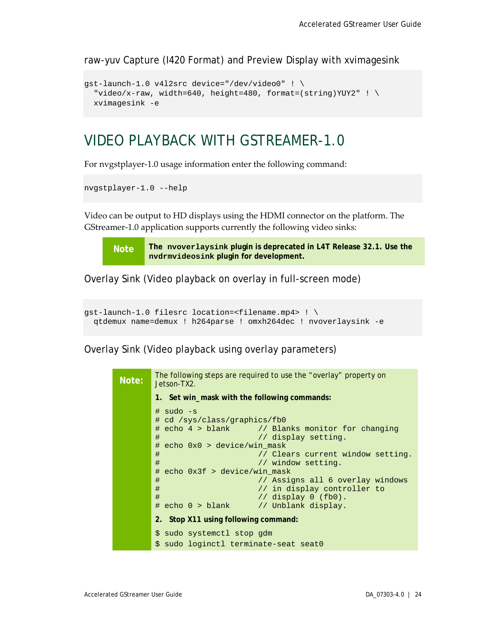raw-yuv Capture (I420 Format) and Preview Display with xvimagesink

```
gst-launch-1.0 v4l2src device="/dev/video0" ! \
  "video/x-raw, width=640, height=480, format=(string)YUY2" ! \setminusxvimagesink -e
```
### <span id="page-28-0"></span>VIDEO PLAYBACK WITH GSTREAMER-1.0

For nvgstplayer-1.0 usage information enter the following command:

```
nvgstplayer-1.0 --help
```
Video can be output to HD displays using the HDMI connector on the platform. The GStreamer-1.0 application supports currently the following video sinks:

**Note The nvoverlaysink plugin is deprecated in L4T Release 32.1. Use the nvdrmvideosink plugin for development.**

Overlay Sink (Video playback on overlay in full-screen mode)

```
gst-launch-1.0 filesrc location=<filename.mp4> ! \
 qtdemux name=demux ! h264parse ! omxh264dec ! nvoverlaysink -e
```
Overlay Sink (Video playback using overlay parameters)

| Note: | The following steps are required to use the "overlay" property on<br>Jetson-TX2.                                                                                                                                                                                                                                                                                                                                              |
|-------|-------------------------------------------------------------------------------------------------------------------------------------------------------------------------------------------------------------------------------------------------------------------------------------------------------------------------------------------------------------------------------------------------------------------------------|
|       | 1. Set win_mask with the following commands:                                                                                                                                                                                                                                                                                                                                                                                  |
|       | $\#$ sudo -s<br># cd /sys/class/graphics/fb0<br># echo 4 > blank // Blanks monitor for changing<br>#<br>// display setting.<br># echo 0x0 > device/win_mask<br>#<br>// Clears current window setting.<br>#<br>// window setting.<br>echo $0x3f$ > device/win_mask<br>#<br>#<br>// Assigns all 6 overlay windows<br>#<br>// in display controller to<br>#<br>// display $0$ (fb $0$ ).<br># echo 0 > blank // Unblank display. |
|       | 2. Stop X11 using following command:                                                                                                                                                                                                                                                                                                                                                                                          |
|       | \$ sudo systemctl stop gdm                                                                                                                                                                                                                                                                                                                                                                                                    |
|       | \$ sudo loginctl terminate-seat seat0                                                                                                                                                                                                                                                                                                                                                                                         |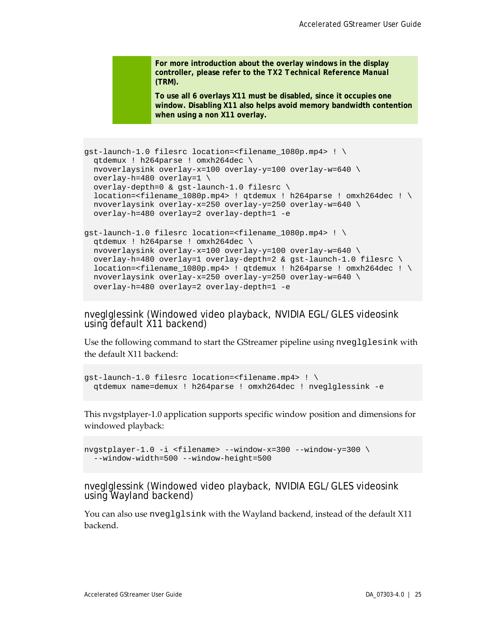**For more introduction about the overlay windows in the display controller, please refer to the** *TX2 Technical Reference Manual* **(TRM).**

**To use all 6 overlays X11 must be disabled, since it occupies one window. Disabling X11 also helps avoid memory bandwidth contention when using a non X11 overlay.**

```
gst-launch-1.0 filesrc location=<filename_1080p.mp4> ! \
 qtdemux ! h264parse ! omxh264dec \
 nvoverlaysink overlay-x=100 overlay-y=100 overlay-w=640 \
 overlay-h=480 overlay=1 \
  overlay-depth=0 & gst-launch-1.0 filesrc \
 location=<filename_1080p.mp4> ! qtdemux ! h264parse ! omxh264dec ! \setminusnvoverlaysink overlay-x=250 overlay-y=250 overlay-w=640 \
 overlay-h=480 overlay=2 overlay-depth=1 -e
qst-launch-1.0 filesrc location=<filename 1080p.mp4> ! \setminusqtdemux ! h264parse ! omxh264dec \
 nvoverlaysink overlay-x=100 overlay-y=100 overlay-w=640 \
 overlay-h=480 overlay=1 overlay-depth=2 & gst-launch-1.0 filesrc \
  location=<filename_1080p.mp4> ! qtdemux ! h264parse ! omxh264dec ! \
 nvoverlaysink overlay-x=250 overlay-y=250 overlay-w=640 \
```
nveglglessink (Windowed video playback, NVIDIA EGL/GLES videosink using default X11 backend)

overlay-h=480 overlay=2 overlay-depth=1 -e

Use the following command to start the GStreamer pipeline using nveglglesink with the default X11 backend:

```
gst-launch-1.0 filesrc location=<filename.mp4> ! \
 qtdemux name=demux ! h264parse ! omxh264dec ! nveglglessink -e
```
This nvgstplayer-1.0 application supports specific window position and dimensions for windowed playback:

```
nvgstplayer-1.0 -i <filename> --window-x=300 --window-y=300 \
  --window-width=500 --window-height=500
```
nveglglessink (Windowed video playback, NVIDIA EGL/GLES videosink using Wayland backend)

You can also use nveglglsink with the Wayland backend, instead of the default X11 backend.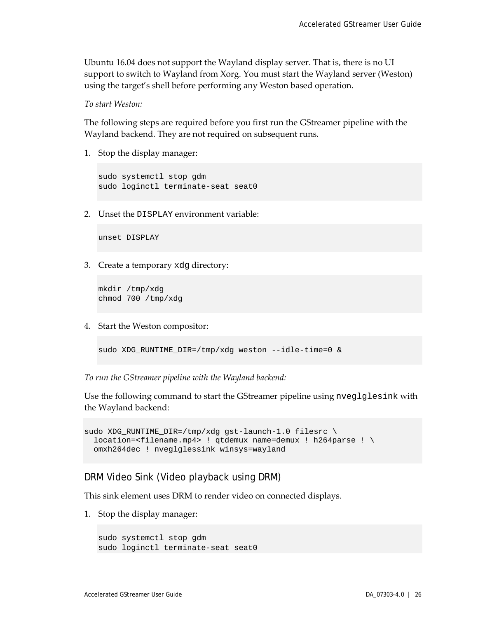Ubuntu 16.04 does not support the Wayland display server. That is, there is no UI support to switch to Wayland from Xorg. You must start the Wayland server (Weston) using the target's shell before performing any Weston based operation.

*To start Weston:*

The following steps are required before you first run the GStreamer pipeline with the Wayland backend. They are not required on subsequent runs.

1. Stop the display manager:

sudo systemctl stop gdm sudo loginctl terminate-seat seat0

2. Unset the DISPLAY environment variable:

unset DISPLAY

3. Create a temporary xdg directory:

```
mkdir /tmp/xdg
chmod 700 /tmp/xdg
```
4. Start the Weston compositor:

```
sudo XDG_RUNTIME_DIR=/tmp/xdg weston --idle-time=0 &
```
*To run the GStreamer pipeline with the Wayland backend:*

Use the following command to start the GStreamer pipeline using nveglglesink with the Wayland backend:

```
sudo XDG_RUNTIME_DIR=/tmp/xdg gst-launch-1.0 filesrc \
 location=<filename.mp4> ! qtdemux name=demux ! h264parse ! \
  omxh264dec ! nveglglessink winsys=wayland
```
### DRM Video Sink (Video playback using DRM)

This sink element uses DRM to render video on connected displays.

1. Stop the display manager:

```
sudo systemctl stop gdm
sudo loginctl terminate-seat seat0
```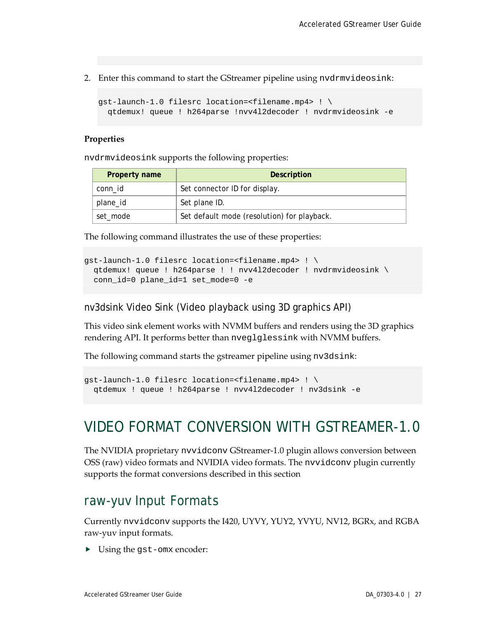2. Enter this command to start the GStreamer pipeline using nvdrmvideosink:

```
gst-launch-1.0 filesrc location=<filename.mp4> ! \
   qtdemux! queue ! h264parse !nvv4l2decoder ! nvdrmvideosink -e
```
#### **Properties**

nvdrmvideosink supports the following properties:

| Property name | <b>Description</b>                          |
|---------------|---------------------------------------------|
| conn id       | Set connector ID for display.               |
| plane_id      | Set plane ID.                               |
| set_mode      | Set default mode (resolution) for playback. |

The following command illustrates the use of these properties:

```
gst-launch-1.0 filesrc location=<filename.mp4> ! \
  qtdemux! queue ! h264parse ! ! nvv4l2decoder ! nvdrmvideosink \
  conn_id=0 plane_id=1 set_mode=0 -e
```
nv3dsink Video Sink (Video playback using 3D graphics API)

This video sink element works with NVMM buffers and renders using the 3D graphics rendering API. It performs better than nveglglessink with NVMM buffers.

The following command starts the gstreamer pipeline using nv3dsink:

```
gst-launch-1.0 filesrc location=<filename.mp4> ! \
  qtdemux ! queue ! h264parse ! nvv4l2decoder ! nv3dsink -e
```
### <span id="page-31-0"></span>VIDEO FORMAT CONVERSION WITH GSTREAMER-1.0

The NVIDIA proprietary nvvidconv GStreamer-1.0 plugin allows conversion between OSS (raw) video formats and NVIDIA video formats. The nvvidconv plugin currently supports the format conversions described in this section

### <span id="page-31-1"></span>raw-yuv Input Formats

Currently nvvidconv supports the I420, UYVY, YUY2, YVYU, NV12, BGRx, and RGBA raw-yuv input formats.

Using the gst-omx encoder: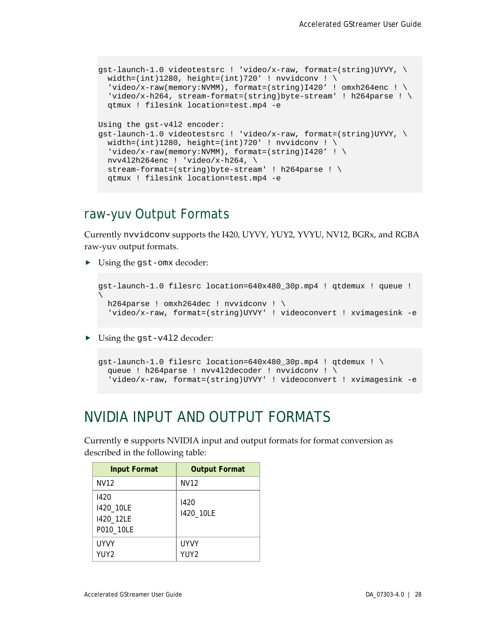```
gst-launch-1.0 videotestsrc ! 'video/x-raw, format=(string)UYVY, \
  width=(int)1280, height=(int)720' ! nvvidconv ! \setminusvideo/x-raw(memory:NUMM), format=(string)I420' ! omxh264enc ! \
  'video/x-h264, stream-format=(string)byte-stream' ! h264parse ! \setminus qtmux ! filesink location=test.mp4 -e
Using the gst-v4l2 encoder:
qst-lawch-1.0 videotestsrc ! 'video/x-raw, format=(string)UYVY, \
  width=(int)1280, height=(int)720' ! nvvidconv ! \
  'video/x-raw(memory:NVMM), format=(string)I420' ! \
   nvv4l2h264enc ! 'video/x-h264, \
   stream-format=(string)byte-stream' ! h264parse ! \
   qtmux ! filesink location=test.mp4 -e
```
### <span id="page-32-0"></span>raw-yuv Output Formats

Currently nvvidconv supports the I420, UYVY, YUY2, YVYU, NV12, BGRx, and RGBA raw-yuv output formats.

Using the gst-omx decoder:

```
gst-launch-1.0 filesrc location=640x480_30p.mp4 ! qtdemux ! queue ! 
\overline{\phantom{0}}h264parse ! omxh264dec ! nvvidconv ! \
   'video/x-raw, format=(string)UYVY' ! videoconvert ! xvimagesink -e
```
▶ Using the gst-v412 decoder:

```
gst-launch-1.0 filesrc location=640x480_30p.mp4 ! qtdemux ! \
   queue ! h264parse ! nvv4l2decoder ! nvvidconv ! \
   'video/x-raw, format=(string)UYVY' ! videoconvert ! xvimagesink -e
```
### <span id="page-32-1"></span>NVIDIA INPUT AND OUTPUT FORMATS

Currently e supports NVIDIA input and output formats for format conversion as described in the following table:

| Input Format                                | <b>Output Format</b>            |
|---------------------------------------------|---------------------------------|
| NV12                                        | NV12                            |
| 1420<br>1420_10LE<br>1420_12LE<br>P010_10LE | 1420<br>1420_10LE               |
| UYVY<br>YUY2                                | <b>UYVY</b><br>YUY <sub>2</sub> |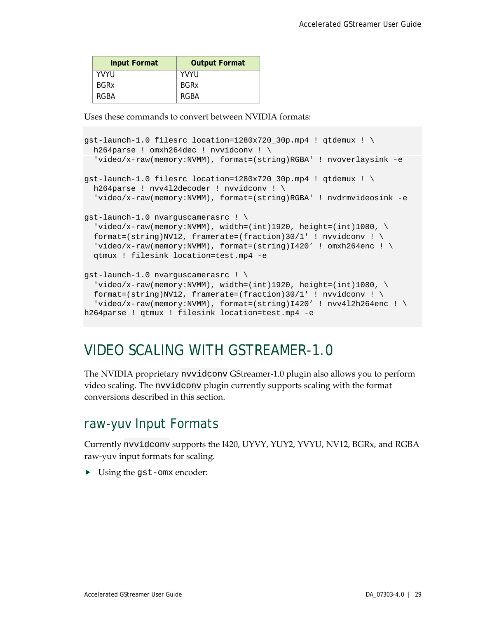| <b>Input Format</b> | <b>Output Format</b> |
|---------------------|----------------------|
| YVYU                | <b>YVYU</b>          |
| <b>BGRx</b>         | <b>BGRx</b>          |
| RGBA                | RGBA                 |

Uses these commands to convert between NVIDIA formats:

```
qst-launch-1.0 filesrc location=1280x720 30p.mp4 ! qtdemux ! \setminush264parse ! omxh264dec ! nvvidconv ! \
   'video/x-raw(memory:NVMM), format=(string)RGBA' ! nvoverlaysink -e
qst-launch-1.0 filesrc location=1280x720 30p.mp4 ! qtdemux ! \setminush264parse ! nvv4l2decoder ! nvvidconv ! \
   'video/x-raw(memory:NVMM), format=(string)RGBA' ! nvdrmvideosink -e
gst-launch-1.0 nvarguscamerasrc ! \
  video/x-raw(memory:NVMM), width=(int)1920, height=(int)1080, \
 format=(string)NV12, framerate=(fraction)30/1' ! nvvidconv ! \
  video/x-raw(memory:NVMM), format=(string)I420' ! omxh264enc ! \
  qtmux ! filesink location=test.mp4 -e
gst-launch-1.0 nvarguscamerasrc ! \
  video/x-raw(memory:NVMM), width=(int)1920, height=(int)1080, \
 format=(string)NV12, framerate=(fraction)30/1' ! nvvidconv ! \
  'video/x-raw(memory:NVMM), format=(string)I420' ! nvv412h264enc ! \
h264parse ! qtmux ! filesink location=test.mp4 -e
```
### <span id="page-33-0"></span>VIDEO SCALING WITH GSTREAMER-1.0

The NVIDIA proprietary nvvidconv GStreamer-1.0 plugin also allows you to perform video scaling. The nvvidconv plugin currently supports scaling with the format conversions described in this section.

### <span id="page-33-1"></span>raw-yuv Input Formats

Currently nvvidconv supports the I420, UYVY, YUY2, YVYU, NV12, BGRx, and RGBA raw-yuv input formats for scaling.

Using the gst-omx encoder: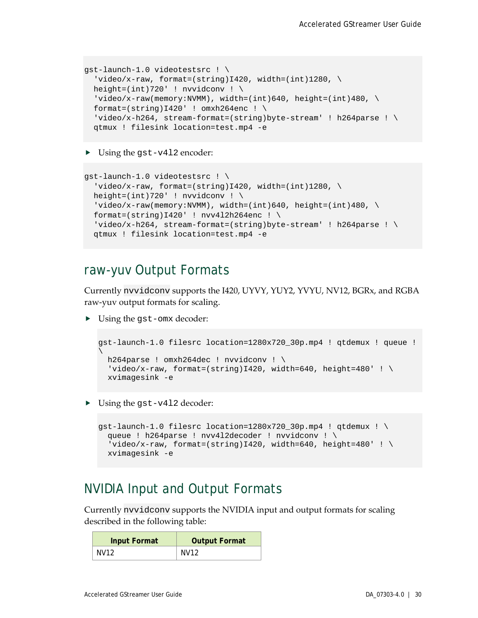```
gst-launch-1.0 videotestsrc ! \
  'video/x-raw, format=(string)I420, width=(int)1280, \setminusheight=(int)720' ! nvvidconv ! \setminus'video/x-raw(memory:NVMM), width=(int)640, height=(int)480, \setminusformat=(string)I420' ! omxh264enc ! \
   'video/x-h264, stream-format=(string)byte-stream' ! h264parse ! \
   qtmux ! filesink location=test.mp4 -e
```
▶ Using the gst-v412 encoder:

```
gst-launch-1.0 videotestsrc ! \
 'video/x-raw, format=(string)I420, width=(int)1280, \setminusheight=(int)720' ! nvvidconv ! \setminus'video/x-raw(memory:NVMM), width=(int)640, height=(int)480, \
 format=(string)I420' ! nvv412h264enc ! \
  'video/x-h264, stream-format=(string)byte-stream' ! h264parse ! \setminus qtmux ! filesink location=test.mp4 -e
```
### <span id="page-34-0"></span>raw-yuv Output Formats

Currently nvvidconv supports the I420, UYVY, YUY2, YVYU, NV12, BGRx, and RGBA raw-yuv output formats for scaling.

Using the gst-omx decoder:

```
gst-launch-1.0 filesrc location=1280x720_30p.mp4 ! qtdemux ! queue ! 
\overline{\phantom{0}}h264parse ! omxh264dec ! nvvidconv ! \
 'video/x-raw, format=(string)I420, width=640, height=480' ! \
  xvimagesink -e
```
▶ Using the gst-v412 decoder:

```
qst-launch-1.0 filesrc location=1280x720 30p.mp4 ! qtdemux ! \backslash queue ! h264parse ! nvv4l2decoder ! nvvidconv ! \
  'video/x-raw, format=(string)I420, width=640, height=480' ! \setminus xvimagesink -e
```
### <span id="page-34-1"></span>NVIDIA Input and Output Formats

Currently nvvidconv supports the NVIDIA input and output formats for scaling described in the following table:

| <b>Input Format</b> | <b>Output Format</b> |
|---------------------|----------------------|
| NV12                | NV <sub>12</sub>     |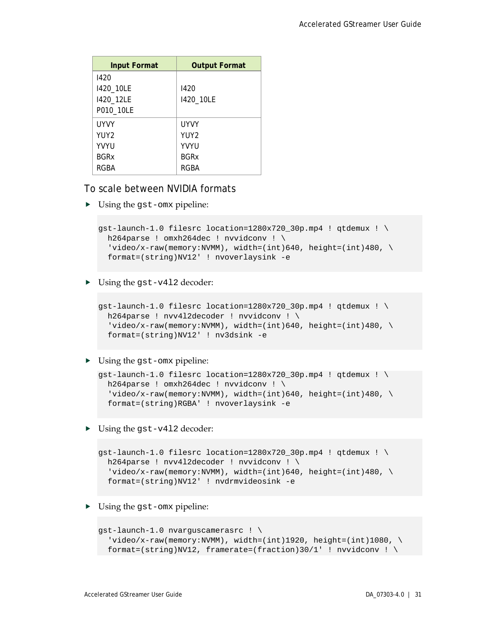| <b>Input Format</b> | <b>Output Format</b> |
|---------------------|----------------------|
| 1420                |                      |
| 1420_10LE           | 1420                 |
| 1420_12LE           | 1420_10LE            |
| P010_10LE           |                      |
| <b>UYVY</b>         | <b>UYVY</b>          |
| YUY2                | YUY <sub>2</sub>     |
| <b>YVYU</b>         | <b>YVYU</b>          |
| <b>BGRx</b>         | <b>BGRx</b>          |
| RGBA                | RGBA                 |

To scale between NVIDIA formats

Using the gst-omx pipeline:

```
gst-launch-1.0 filesrc location=1280x720_30p.mp4 ! qtdemux ! \setminush264parse ! omxh264dec ! nvvidconv ! \
  video/x-raw(memory:NVMM), width=(int)640, height=(int)480, \
   format=(string)NV12' ! nvoverlaysink -e
```
▶ Using the gst-v412 decoder:

```
qst-launch-1.0 filesrc location=1280x720 30p.mp4 ! qtdemux ! \setminush264parse ! nvv4l2decoder ! nvvidconv ! \
  'video/x-raw(memory:NVMM), width=(int)640, height=(int)480, \setminus format=(string)NV12' ! nv3dsink -e
```
▶ Using the gst-omx pipeline:

```
qst-launch-1.0 filesrc location=1280x720 30p.mp4 ! qtdemux ! \setminush264parse ! omxh264dec ! nvvidconv ! \
  'video/x-raw(memory:NVMM), width=(int)640, height=(int)480, \setminus format=(string)RGBA' ! nvoverlaysink -e
```
▶ Using the gst-v412 decoder:

```
gst-launch-1.0 filesrc location=1280x720_30p.mp4 ! qtdemux ! \setminush264parse ! nvv4l2decoder ! nvvidconv ! \
  'video/x-raw(memory:NVMM), width=(int)640, height=(int)480, \setminus format=(string)NV12' ! nvdrmvideosink -e
```
Using the gst-omx pipeline:

```
gst-launch-1.0 nvarguscamerasrc ! \
  'video/x-raw(memory:NVMM), width=(int)1920, height=(int)1080, \
  format=(string)NV12, framerate=(fraction)30/1' ! nvvidconv ! \setminus
```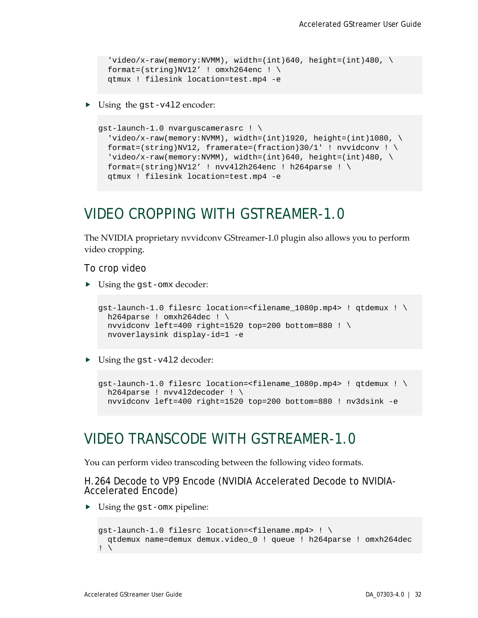```
'video/x-raw(memory:NVMM), width=(int)640, height=(int)480, \setminusformat=(string)NV12' ! omxh264enc ! \
 qtmux ! filesink location=test.mp4 -e
```
▶ Using the gst-v412 encoder:

```
gst-launch-1.0 nvarguscamerasrc ! \
  'video/x-raw(memory:NVMM), width=(int)1920, height=(int)1080, \
  format=(string)NV12, framerate=(fraction)30/1' ! nvvidconv ! \setminus'video/x-raw(memory:NVMM), width=(int)640, height=(int)480, \setminusformat=(string)NV12' ! nvv4l2h264enc ! h264parse ! \setminus qtmux ! filesink location=test.mp4 -e
```
### <span id="page-36-0"></span>VIDEO CROPPING WITH GSTREAMER-1.0

The NVIDIA proprietary nvvidconv GStreamer-1.0 plugin also allows you to perform video cropping.

To crop video

▶ Using the gst-omx decoder:

```
gst-launch-1.0 filesrc location=<filename_1080p.mp4> ! qtdemux ! \
 h264parse ! omxh264dec ! \
 nvvidconv left=400 right=1520 top=200 bottom=880 ! \
 nvoverlaysink display-id=1 -e
```
▶ Using the gst-v412 decoder:

```
gst-launch-1.0 filesrc location=<filename_1080p.mp4> ! qtdemux ! \
 h264parse ! nvv412decoder ! \
  nvvidconv left=400 right=1520 top=200 bottom=880 ! nv3dsink -e
```
### <span id="page-36-1"></span>VIDEO TRANSCODE WITH GSTREAMER-1.0

You can perform video transcoding between the following video formats.

H.264 Decode to VP9 Encode (NVIDIA Accelerated Decode to NVIDIA- Accelerated Encode)

Using the gst-omx pipeline:

```
gst-launch-1.0 filesrc location=<filename.mp4> ! \
  qtdemux name=demux demux.video_0 ! queue ! h264parse ! omxh264dec
\mathbf{I} \setminus
```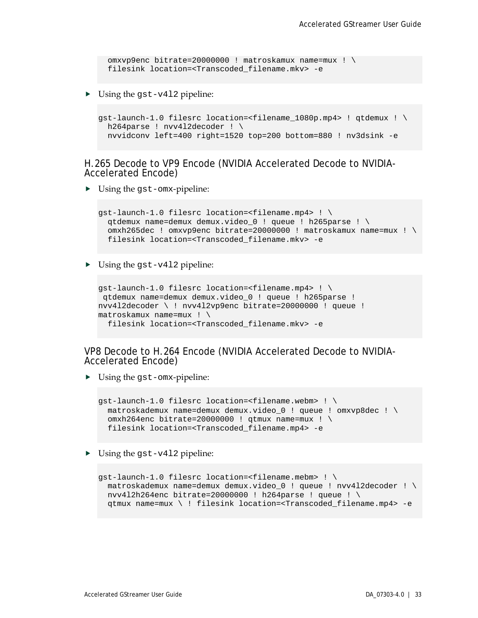omxvp9enc bitrate=20000000 ! matroskamux name=mux ! \ filesink location=<Transcoded\_filename.mkv> -e

▶ Using the gst-v412 pipeline:

```
qst-launch-1.0 filesrc location=<filename 1080p.mp4> ! qtdemux ! \setminush264parse ! nvv412decoder ! \
   nvvidconv left=400 right=1520 top=200 bottom=880 ! nv3dsink -e
```
H.265 Decode to VP9 Encode (NVIDIA Accelerated Decode to NVIDIA- Accelerated Encode)

Using the gst-omx-pipeline:

```
gst-launch-1.0 filesrc location=<filename.mp4> ! \
  qtdemux name=demux demux.video_0 ! queue ! h265parse ! \
   omxh265dec ! omxvp9enc bitrate=20000000 ! matroskamux name=mux ! \
  filesink location=<Transcoded_filename.mkv> -e
```
▶ Using the gst-v412 pipeline:

```
gst-launch-1.0 filesrc location=<filename.mp4> ! \
qtdemux name=demux demux.video_0 ! queue ! h265parse ! 
nvv4l2decoder \ ! nvv4l2vp9enc bitrate=20000000 ! queue ! 
matroskamux name=mux ! \
  filesink location=<Transcoded_filename.mkv> -e
```
VP8 Decode to H.264 Encode (NVIDIA Accelerated Decode to NVIDIA- Accelerated Encode)

Using the gst-omx-pipeline:

```
gst-launch-1.0 filesrc location=<filename.webm> ! \
   matroskademux name=demux demux.video_0 ! queue ! omxvp8dec ! \
  omxh264enc bitrate=20000000 ! qtmux name=mux ! \
  filesink location=<Transcoded_filename.mp4> -e
```
▶ Using the gst-v412 pipeline:

```
gst-launch-1.0 filesrc location=<filename.mebm> ! \
  matroskademux name=demux demux.video_0 ! queue ! nvv4l2decoder ! \
 nvv4l2h264enc bitrate=20000000 ! h264parse ! queue ! \
   qtmux name=mux \ ! filesink location=<Transcoded_filename.mp4> -e
```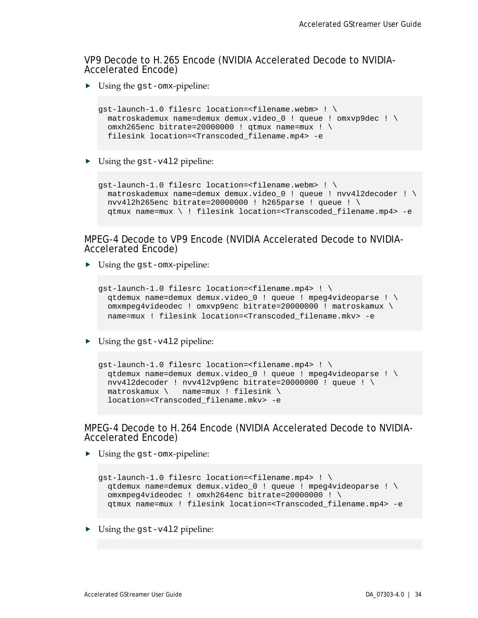VP9 Decode to H.265 Encode (NVIDIA Accelerated Decode to NVIDIA- Accelerated Encode)

Using the gst-omx-pipeline:

```
gst-launch-1.0 filesrc location=<filename.webm> ! \
 matroskademux name=demux demux.video_0 ! queue ! omxvp9dec ! \
  omxh265enc bitrate=20000000 ! qtmux name=mux ! \
  filesink location=<Transcoded_filename.mp4> -e
```
 $\triangleright$  Using the gst-v412 pipeline:

```
gst-launch-1.0 filesrc location=<filename.webm> ! \
  matroskademux name=demux demux.video_0 ! queue ! nvv4l2decoder ! \
 nvv4l2h265enc bitrate=20000000 ! h265parse ! queue ! \
   qtmux name=mux \ ! filesink location=<Transcoded_filename.mp4> -e
```
## MPEG-4 Decode to VP9 Encode (NVIDIA Accelerated Decode to NVIDIA- Accelerated Encode)

Using the gst-omx-pipeline:

```
gst-launch-1.0 filesrc location=<filename.mp4> ! \
 qtdemux name=demux demux.video_0 ! queue ! mpeg4videoparse ! \
 omxmpeg4videodec ! omxvp9enc bitrate=20000000 ! matroskamux \
  name=mux ! filesink location=<Transcoded_filename.mkv> -e
```
▶ Using the gst-v412 pipeline:

```
gst-launch-1.0 filesrc location=<filename.mp4> ! \
  qtdemux name=demux demux.video_0 ! queue ! mpeg4videoparse ! \
  nvv4l2decoder ! nvv4l2vp9enc bitrate=20000000 ! queue ! \
   matroskamux \ name=mux ! filesink \
   location=<Transcoded_filename.mkv> -e
```
MPEG-4 Decode to H.264 Encode (NVIDIA Accelerated Decode to NVIDIA- Accelerated Encode)

Using the gst-omx-pipeline:

```
gst-launch-1.0 filesrc location=<filename.mp4> ! \
  qtdemux name=demux demux.video_0 ! queue ! mpeg4videoparse ! \
  omxmpeg4videodec ! omxh264enc bitrate=20000000 ! \
   qtmux name=mux ! filesink location=<Transcoded_filename.mp4> -e
```
 $\triangleright$  Using the gst-v412 pipeline: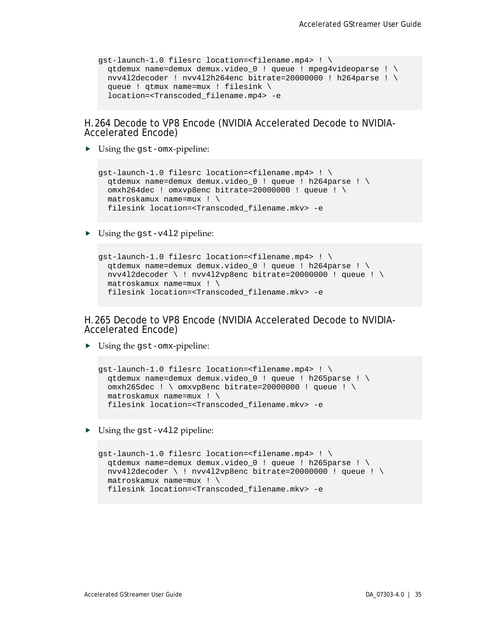```
gst-launch-1.0 filesrc location=<filename.mp4> ! \
  qtdemux name=demux demux.video_0 ! queue ! mpeg4videoparse ! \
  nvv4l2decoder ! nvv4l2h264enc bitrate=20000000 ! h264parse ! \
   queue ! qtmux name=mux ! filesink \
   location=<Transcoded_filename.mp4> -e
```
H.264 Decode to VP8 Encode (NVIDIA Accelerated Decode to NVIDIA- Accelerated Encode)

Using the gst-omx-pipeline:

```
gst-launch-1.0 filesrc location=<filename.mp4> ! \
  qtdemux name=demux demux.video_0 ! queue ! h264parse ! \
   omxh264dec ! omxvp8enc bitrate=20000000 ! queue ! \
   matroskamux name=mux ! \
  filesink location=<Transcoded_filename.mkv> -e
```
▶ Using the gst-v412 pipeline:

```
gst-launch-1.0 filesrc location=<filename.mp4> ! \
 qtdemux name=demux demux.video_0 ! queue ! h264parse ! \
  nvv4l2decoder \ ! nvv4l2vp8enc bitrate=20000000 ! queue ! \
   matroskamux name=mux ! \
  filesink location=<Transcoded_filename.mkv> -e
```
H.265 Decode to VP8 Encode (NVIDIA Accelerated Decode to NVIDIA- Accelerated Encode)

▶ Using the gst-omx-pipeline:

```
gst-launch-1.0 filesrc location=<filename.mp4> ! \
  qtdemux name=demux demux.video_0 ! queue ! h265parse ! \
   omxh265dec ! \ omxvp8enc bitrate=20000000 ! queue ! \
   matroskamux name=mux ! \
  filesink location=<Transcoded_filename.mkv> -e
```
▶ Using the gst-v412 pipeline:

```
gst-launch-1.0 filesrc location=<filename.mp4> ! \
 qtdemux name=demux demux.video_0 ! queue ! h265parse ! \
  nvv4l2decoder \ ! nvv4l2vp8enc bitrate=20000000 ! queue ! \
  matroskamux name=mux ! \
 filesink location=<Transcoded_filename.mkv> -e
```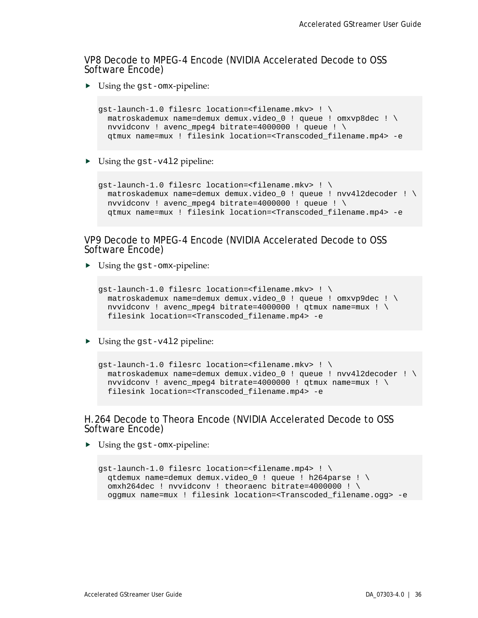VP8 Decode to MPEG-4 Encode (NVIDIA Accelerated Decode to OSS Software Encode)

Using the gst-omx-pipeline:

```
gst-launch-1.0 filesrc location=<filename.mkv> ! \
 matroskademux name=demux demux.video_0 ! queue ! omxvp8dec ! \
  nvvidconv ! avenc_mpeg4 bitrate=4000000 ! queue ! \
   qtmux name=mux ! filesink location=<Transcoded_filename.mp4> -e
```
 $\triangleright$  Using the gst-v412 pipeline:

```
gst-launch-1.0 filesrc location=<filename.mkv> ! \
  matroskademux name=demux demux.video_0 ! queue ! nvv4l2decoder ! \
 nvvidconv ! avenc mpeg4 bitrate=4000000 ! queue ! \setminus qtmux name=mux ! filesink location=<Transcoded_filename.mp4> -e
```
## VP9 Decode to MPEG-4 Encode (NVIDIA Accelerated Decode to OSS<br>Software Encode)

Using the gst-omx-pipeline:

```
gst-launch-1.0 filesrc location=<filename.mkv> ! \
 matroskademux name=demux demux.video_0 ! queue ! omxvp9dec ! \
 nvvidconv ! avenc mpeg4 bitrate=4000000 ! gtmux name=mux ! \setminusfilesink location=<Transcoded_filename.mp4> -e
```
▶ Using the gst-v412 pipeline:

```
gst-launch-1.0 filesrc location=<filename.mkv> ! \
  matroskademux name=demux demux.video_0 ! queue ! nvv4l2decoder ! \
  nvvidconv ! avenc_mpeg4 bitrate=4000000 ! qtmux name=mux ! \
  filesink location=<Transcoded_filename.mp4> -e
```
#### H.264 Decode to Theora Encode (NVIDIA Accelerated Decode to OSS Software Encode)

▶ Using the gst-omx-pipeline:

```
gst-launch-1.0 filesrc location=<filename.mp4> ! \
  qtdemux name=demux demux.video_0 ! queue ! h264parse ! \
   omxh264dec ! nvvidconv ! theoraenc bitrate=4000000 ! \
  oggmux name=mux ! filesink location=<Transcoded_filename.ogg> -e
```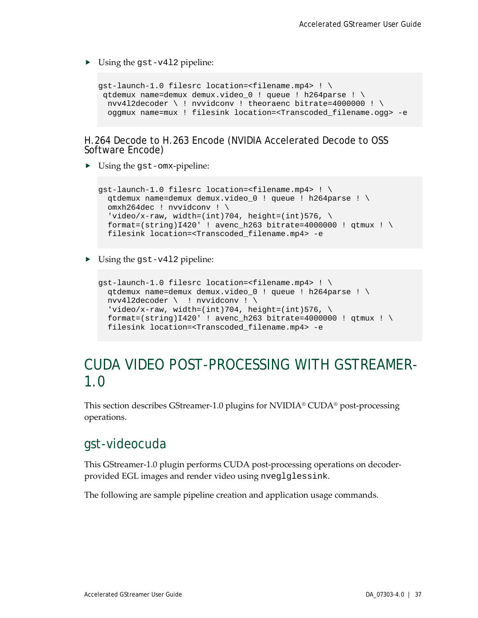$\triangleright$  Using the gst-v412 pipeline:

```
gst-launch-1.0 filesrc location=<filename.mp4> ! \
 qtdemux name=demux demux.video_0 ! queue ! h264parse ! \
  nvv4l2decoder \ ! nvvidconv ! theoraenc bitrate=4000000 ! \
  oggmux name=mux ! filesink location=<Transcoded_filename.ogg> -e
```
H.264 Decode to H.263 Encode (NVIDIA Accelerated Decode to OSS Software Encode)

Using the gst-omx-pipeline:

```
gst-launch-1.0 filesrc location=<filename.mp4> ! \
  qtdemux name=demux demux.video_0 ! queue ! h264parse ! \
  omxh264dec ! nvvidconv ! \
 'video/x-raw, width=(int)704, height=(int)576, \setminusformat=(string)I420' ! avenc_h263 bitrate=4000000 ! qtmux ! \
  filesink location=<Transcoded_filename.mp4> -e
```
▶ Using the gst-v412 pipeline:

```
gst-launch-1.0 filesrc location=<filename.mp4> ! \
  qtdemux name=demux demux.video_0 ! queue ! h264parse ! \
   nvv4l2decoder \ ! nvvidconv ! \
  'video/x-raw, width=(int)704, height=(int)576, \setminusformat=(string)I420' ! avenc_h263 bitrate=4000000 ! qtmux ! \
   filesink location=<Transcoded_filename.mp4> -e
```
### <span id="page-41-0"></span>CUDA VIDEO POST-PROCESSING WITH GSTREAMER-1.0

This section describes GStreamer-1.0 plugins for NVIDIA® CUDA® post-processing operations.

### <span id="page-41-1"></span>gst-videocuda

This GStreamer-1.0 plugin performs CUDA post-processing operations on decoderprovided EGL images and render video using nveglglessink.

The following are sample pipeline creation and application usage commands.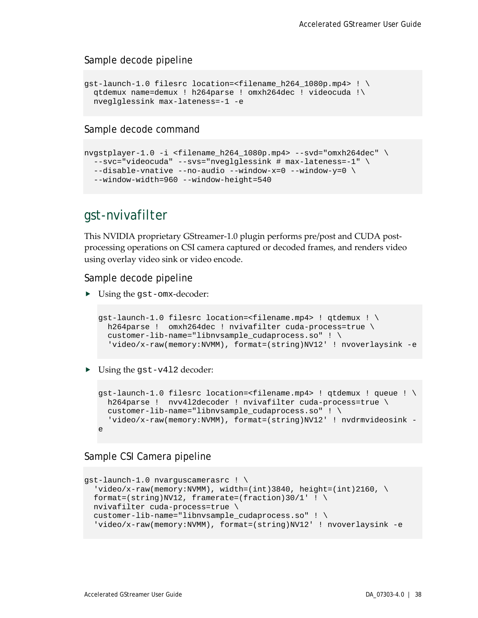#### Sample decode pipeline

```
gst-launch-1.0 filesrc location=<filename_h264_1080p.mp4> ! \
 qtdemux name=demux ! h264parse ! omxh264dec ! videocuda !\
 nveglglessink max-lateness=-1 -e
```
#### Sample decode command

```
nvgstplayer-1.0 -i <filename_h264_1080p.mp4> --svd="omxh264dec" \
 --svc="videocuda" --svs="nveglglessink # max-lateness=-1" \
 --disable-vnative --no-audio --window-x=0 --window-y=0 \
 --window-width=960 --window-height=540
```
### <span id="page-42-0"></span>gst-nvivafilter

This NVIDIA proprietary GStreamer-1.0 plugin performs pre/post and CUDA postprocessing operations on CSI camera captured or decoded frames, and renders video using overlay video sink or video encode.

Sample decode pipeline

▶ Using the gst-omx-decoder:

```
gst-launch-1.0 filesrc location=<filename.mp4> ! qtdemux ! \
 h264parse ! omxh264dec ! nvivafilter cuda-process=true \
 customer-lib-name="libnvsample_cudaprocess.so" ! \
   'video/x-raw(memory:NVMM), format=(string)NV12' ! nvoverlaysink -e
```
▶ Using the gst-v412 decoder:

```
gst-launch-1.0 filesrc location=<filename.mp4> ! qtdemux ! queue ! \
  h264parse ! nvv4l2decoder ! nvivafilter cuda-process=true \
 customer-lib-name="libnvsample_cudaprocess.so" ! \
   'video/x-raw(memory:NVMM), format=(string)NV12' ! nvdrmvideosink -
e
```
#### Sample CSI Camera pipeline

```
gst-launch-1.0 nvarguscamerasrc ! \
  video/x-raw(memory:NVMM), width=(int)3840, height=(int)2160, \
 format=(string)NV12, framerate=(fraction)30/1' ! \
  nvivafilter cuda-process=true \
  customer-lib-name="libnvsample_cudaprocess.so" ! \
  'video/x-raw(memory:NVMM), format=(string)NV12' ! nvoverlaysink -e
```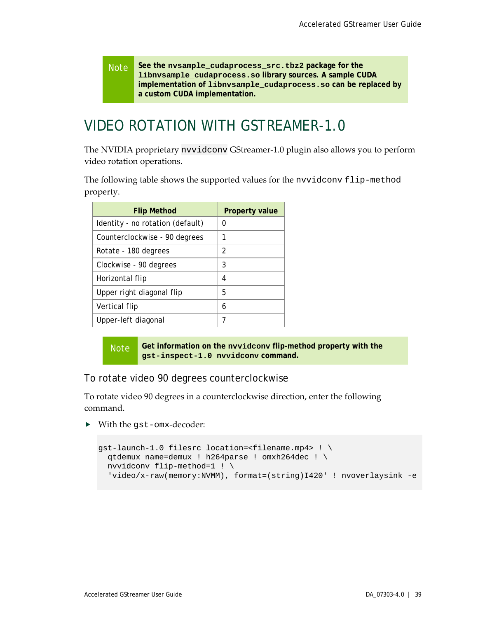Note **See the nvsample\_cudaprocess\_src.tbz2 package for the libnvsample\_cudaprocess.so library sources. A sample CUDA implementation of libnvsample\_cudaprocess.so can be replaced by a custom CUDA implementation.**

### <span id="page-43-0"></span>VIDEO ROTATION WITH GSTREAMER-1.0

The NVIDIA proprietary nvvidconv GStreamer-1.0 plugin also allows you to perform video rotation operations.

The following table shows the supported values for the nvvidconv flip-method property.

| <b>Flip Method</b>               | <b>Property value</b> |
|----------------------------------|-----------------------|
| Identity - no rotation (default) | 0                     |
| Counterclockwise - 90 degrees    | 1                     |
| Rotate - 180 degrees             | 2                     |
| Clockwise - 90 degrees           | 3                     |
| Horizontal flip                  | 4                     |
| Upper right diagonal flip        | 5                     |
| Vertical flip                    | 6                     |
| Upper-left diagonal              | 7                     |

Note **Get information on the nvvidconv flip-method property with the gst-inspect-1.0 nvvidconv command.**

To rotate video 90 degrees counterclockwise

To rotate video 90 degrees in a counterclockwise direction, enter the following command.

With the gst-omx-decoder:

```
gst-launch-1.0 filesrc location=<filename.mp4> ! \
   qtdemux name=demux ! h264parse ! omxh264dec ! \
  nvvidconv flip-method=1 ! \
   'video/x-raw(memory:NVMM), format=(string)I420' ! nvoverlaysink -e
```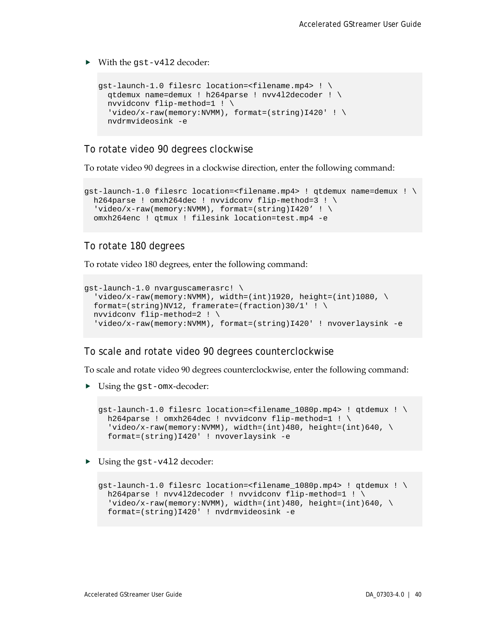▶ With the qst-v412 decoder:

```
gst-launch-1.0 filesrc location=<filename.mp4> ! \
   qtdemux name=demux ! h264parse ! nvv4l2decoder ! \
   nvvidconv flip-method=1 ! \
 'video/x-raw(memory:NVMM), format=(string)I420' ! \
   nvdrmvideosink -e
```
#### To rotate video 90 degrees clockwise

To rotate video 90 degrees in a clockwise direction, enter the following command:

```
gst-launch-1.0 filesrc location=<filename.mp4> ! qtdemux name=demux ! \
 h264parse ! omxh264dec ! nvvidconv flip-method=3 ! \setminus'video/x-raw(memory:NVMM), format=(string)I420' ! \
  omxh264enc ! qtmux ! filesink location=test.mp4 -e
```
#### To rotate 180 degrees

To rotate video 180 degrees, enter the following command:

```
gst-launch-1.0 nvarguscamerasrc! \
  video/x-raw(memory:NUMM), width=(int)1920, height=(int)1080, \
 format=(string)NV12, framerate=(fraction)30/1' ! \
 nvvidconv flip-method=2 ! \
  'video/x-raw(memory:NVMM), format=(string)I420' ! nvoverlaysink -e
```
#### To scale and rotate video 90 degrees counterclockwise

To scale and rotate video 90 degrees counterclockwise, enter the following command:

▶ Using the gst-omx-decoder:

```
qst-launch-1.0 filesrc location=<filename 1080p.mp4> ! qtdemux ! \setminush264parse ! omxh264dec ! nvvidconv flip-method=1 ! \
  video/x-raw(memory:NVMM), width=(int)480, height=(int)640, \
   format=(string)I420' ! nvoverlaysink -e
```
▶ Using the gst-v412 decoder:

```
gst-launch-1.0 filesrc location=<filename_1080p.mp4> ! qtdemux ! \
 h264parse ! nvv4l2decoder ! nvvidconv flip-method=1 ! \
  'video/x-raw(memory:NVMM), width=(int)480, height=(int)640, \setminus format=(string)I420' ! nvdrmvideosink -e
```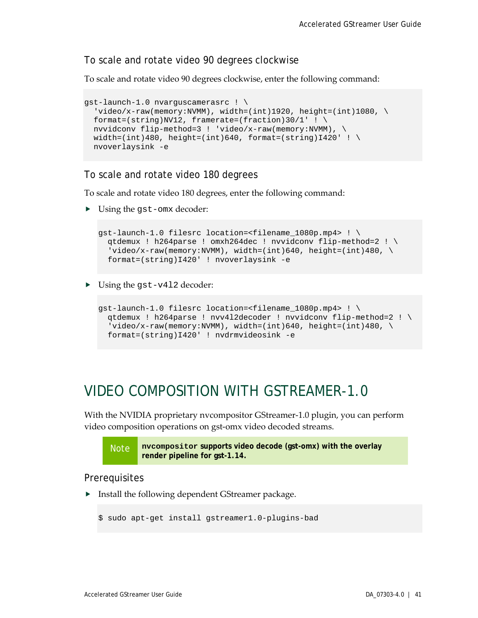#### To scale and rotate video 90 degrees clockwise

To scale and rotate video 90 degrees clockwise, enter the following command:

```
gst-launch-1.0 nvarguscamerasrc ! \
  'video/x-raw(memory:NVMM), width=(int)1920, height=(int)1080, \
 format=(string)NV12, framerate=(fraction)30/1' ! \
 nvvidconv flip-method=3 ! 'video/x-raw(memory:NVMM), \
 width=(int)480, height=(int)640, format=(string)I420' ! \setminusnvoverlaysink -e
```
#### To scale and rotate video 180 degrees

To scale and rotate video 180 degrees, enter the following command:

▶ Using the gst-omx decoder:

```
qst-launch-1.0 filesrc location=<filename 1080p.mp4> ! \setminusqtdemux ! h264parse ! omxh264dec ! nvvidconv flip-method=2 ! \
  'video/x-raw(memory:NVMM), width=(int)640, height=(int)480, \backslash format=(string)I420' ! nvoverlaysink -e
```
▶ Using the gst-v412 decoder:

```
gst-launch-1.0 filesrc location=<filename_1080p.mp4> ! \
 qtdemux ! h264parse ! nvv4l2decoder ! nvvidconv flip-method=2 ! \
  video/x-raw(memory:NVMM), width=(int)640, height=(int)480, \
  format=(string)I420' ! nvdrmvideosink -e
```
### <span id="page-45-0"></span>VIDEO COMPOSITION WITH GSTREAMER-1.0

With the NVIDIA proprietary nvcompositor GStreamer-1.0 plugin, you can perform video composition operations on gst-omx video decoded streams.



#### Prerequisites

**F** Install the following dependent GStreamer package.

```
$ sudo apt-get install gstreamer1.0-plugins-bad
```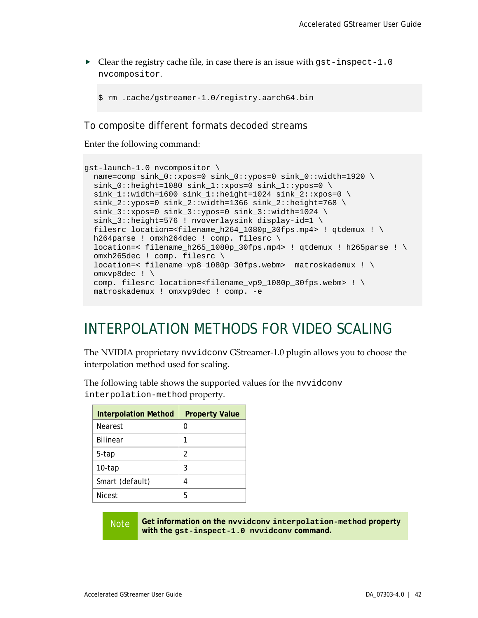$\triangleright$  Clear the registry cache file, in case there is an issue with gst-inspect-1.0 nvcompositor.

```
$ rm .cache/gstreamer-1.0/registry.aarch64.bin
```
To composite different formats decoded streams

Enter the following command:

```
gst-launch-1.0 nvcompositor \
  name=comp sink_0::xpos=0 sink_0::ypos=0 sink_0::width=1920 \
  sink 0::height=1080 sink 1::xpos=0 sink 1::ypos=0 \setminussink 1:width=1600 sink 1:height=1024 sink 2:ixpos=0 \setminussink_2::ypos=0 sink_2::width=1366 sink_2::height=768 \
 sink 3::xpos=0 sink 3::ypos=0 sink 3::width=1024 \
 sink_3::height=576 ! nvoverlaysink display-id=1 \
 filesrc location=<filename_h264_1080p_30fps.mp4> ! qtdemux ! \
 h264parse ! omxh264dec ! comp. filesrc \
  location=< filename_h265_1080p_30fps.mp4> ! qtdemux ! h265parse ! \
  omxh265dec ! comp. filesrc \
  location=< filename_vp8_1080p_30fps.webm> matroskademux ! \
  omxvp8dec ! \
  comp. filesrc location=<filename_vp9_1080p_30fps.webm> ! \
  matroskademux ! omxvp9dec ! comp. -e
```
### <span id="page-46-0"></span>INTERPOLATION METHODS FOR VIDEO SCALING

The NVIDIA proprietary nvvidconv GStreamer-1.0 plugin allows you to choose the interpolation method used for scaling.

The following table shows the supported values for the nvvidconv interpolation-method property.

| <b>Interpolation Method</b> | <b>Property Value</b> |
|-----------------------------|-----------------------|
| <b>Nearest</b>              | O                     |
| <b>Bilinear</b>             |                       |
| 5-tap                       | 2                     |
| $10$ -tap                   | 3                     |
| Smart (default)             | 4                     |
| <b>Nicest</b>               | 5                     |

Note **Get information on the nvvidconv interpolation-method property with the gst-inspect-1.0 nvvidconv command.**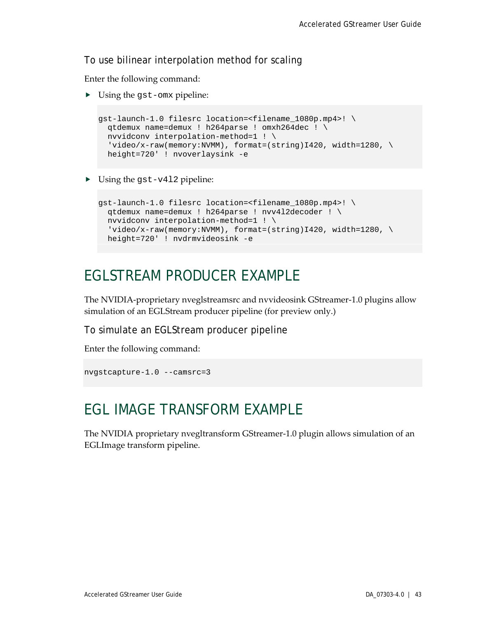### To use bilinear interpolation method for scaling

Enter the following command:

▶ Using the gst-omx pipeline:

```
gst-launch-1.0 filesrc location=<filename_1080p.mp4>! \
 qtdemux name=demux ! h264parse ! omxh264dec ! \
 nvvidconv interpolation-method=1 ! \
 'video/x-raw(memory:NVMM), format=(string)I420, width=1280, \setminus height=720' ! nvoverlaysink -e
```
▶ Using the gst-v412 pipeline:

```
gst-launch-1.0 filesrc location=<filename_1080p.mp4>! \
  qtdemux name=demux ! h264parse ! nvv4l2decoder ! \
  nvvidconv interpolation-method=1 ! \
 'video/x-raw(memory:NVMM), format=(string)I420, width=1280, \
  height=720' ! nvdrmvideosink -e
```
### <span id="page-47-0"></span>EGLSTREAM PRODUCER EXAMPLE

The NVIDIA-proprietary nveglstreamsrc and nvvideosink GStreamer-1.0 plugins allow simulation of an EGLStream producer pipeline (for preview only.)

To simulate an EGLStream producer pipeline

Enter the following command:

```
nvgstcapture-1.0 --camsrc=3
```
### <span id="page-47-1"></span>EGL IMAGE TRANSFORM EXAMPLE

The NVIDIA proprietary nvegltransform GStreamer-1.0 plugin allows simulation of an EGLImage transform pipeline.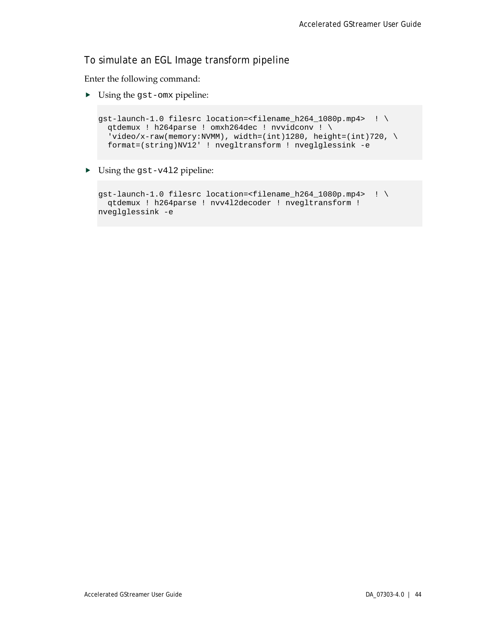#### To simulate an EGL Image transform pipeline

Enter the following command:

Using the gst-omx pipeline:

```
gst-launch-1.0 filesrc location=<filename_h264_1080p.mp4> ! \
  qtdemux ! h264parse ! omxh264dec ! nvvidconv ! \
  'video/x-raw(memory:NVMM), width=(int)1280, height=(int)720, \setminus format=(string)NV12' ! nvegltransform ! nveglglessink -e
```
▶ Using the gst-v412 pipeline:

```
gst-launch-1.0 filesrc location=<filename_h264_1080p.mp4> ! \
 qtdemux ! h264parse ! nvv4l2decoder ! nvegltransform ! 
nveglglessink -e
```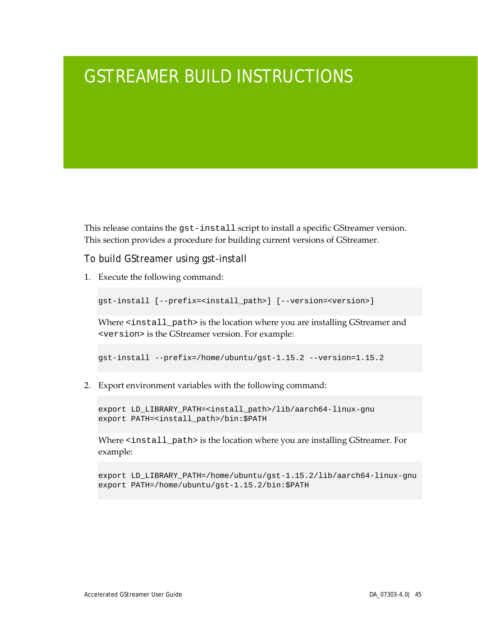## <span id="page-49-0"></span>GSTREAMER BUILD INSTRUCTIONS

This release contains the gst-install script to install a specific GStreamer version. This section provides a procedure for building current versions of GStreamer.

To build GStreamer using gst-install

1. Execute the following command:

gst-install [--prefix=<install\_path>] [--version=<version>]

Where <install\_path> is the location where you are installing GStreamer and <version> is the GStreamer version. For example:

gst-install --prefix=/home/ubuntu/gst-1.15.2 --version=1.15.2

2. Export environment variables with the following command:

export LD\_LIBRARY\_PATH=<install\_path>/lib/aarch64-linux-gnu export PATH=<install\_path>/bin:\$PATH

Where <install\_path> is the location where you are installing GStreamer. For example:

export LD\_LIBRARY\_PATH=/home/ubuntu/gst-1.15.2/lib/aarch64-linux-gnu export PATH=/home/ubuntu/gst-1.15.2/bin:\$PATH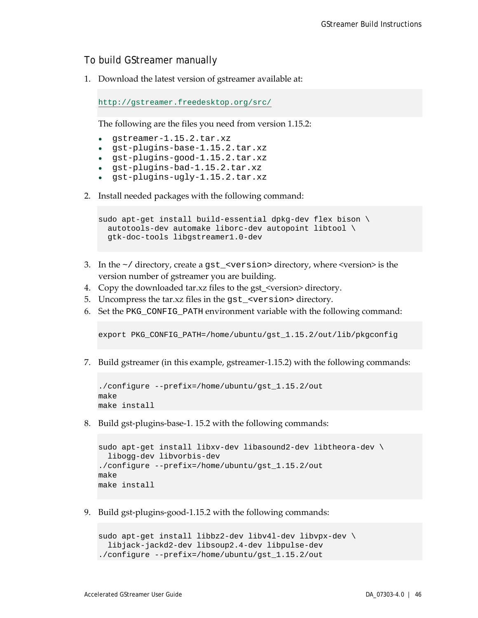### To build GStreamer manually

1. Download the latest version of gstreamer available at:

<http://gstreamer.freedesktop.org/src/>

The following are the files you need from version 1.15.2:

- gstreamer-1.15.2.tar.xz
- gst-plugins-base-1.15.2.tar.xz
- gst-plugins-good-1.15.2.tar.xz
- gst-plugins-bad-1.15.2.tar.xz
- gst-plugins-ugly-1.15.2.tar.xz
- 2. Install needed packages with the following command:

```
sudo apt-get install build-essential dpkg-dev flex bison \
  autotools-dev automake liborc-dev autopoint libtool \
  gtk-doc-tools libgstreamer1.0-dev
```
- 3. In the  $\sim$  / directory, create a gst\_ $\lt$ version $>$  directory, where  $\lt$ version $\gt$  is the version number of gstreamer you are building.
- 4. Copy the downloaded tar.xz files to the gst  $\leq$  version alrectory.
- 5. Uncompress the tar.xz files in the gst\_<version> directory.
- 6. Set the PKG\_CONFIG\_PATH environment variable with the following command:

export PKG\_CONFIG\_PATH=/home/ubuntu/gst\_1.15.2/out/lib/pkgconfig

7. Build gstreamer (in this example, gstreamer-1.15.2) with the following commands:

```
./configure --prefix=/home/ubuntu/gst_1.15.2/out
make
make install
```
8. Build gst-plugins-base-1. 15.2 with the following commands:

```
sudo apt-get install libxv-dev libasound2-dev libtheora-dev \
  libogg-dev libvorbis-dev
./configure --prefix=/home/ubuntu/gst_1.15.2/out
make
make install
```
9. Build gst-plugins-good-1.15.2 with the following commands:

```
sudo apt-get install libbz2-dev libv4l-dev libvpx-dev \
  libjack-jackd2-dev libsoup2.4-dev libpulse-dev
./configure --prefix=/home/ubuntu/gst_1.15.2/out
```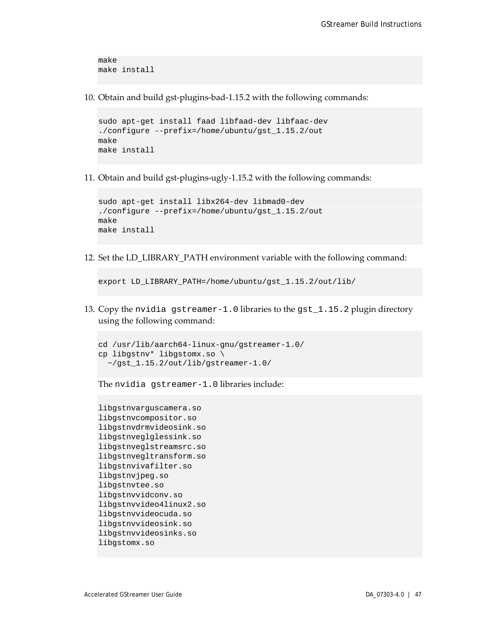```
make
make install
```
10. Obtain and build gst-plugins-bad-1.15.2 with the following commands:

```
sudo apt-get install faad libfaad-dev libfaac-dev
./configure --prefix=/home/ubuntu/gst_1.15.2/out
make
make install
```
11. Obtain and build gst-plugins-ugly-1.15.2 with the following commands:

```
sudo apt-get install libx264-dev libmad0-dev
./configure --prefix=/home/ubuntu/gst_1.15.2/out
make
make install
```
12. Set the LD\_LIBRARY\_PATH environment variable with the following command:

export LD\_LIBRARY\_PATH=/home/ubuntu/gst\_1.15.2/out/lib/

13. Copy the nvidia gstreamer-1.0 libraries to the gst\_1.15.2 plugin directory using the following command:

```
cd /usr/lib/aarch64-linux-gnu/gstreamer-1.0/
cp libgstnv* libgstomx.so \
   ~/gst_1.15.2/out/lib/gstreamer-1.0/
```
The nvidia gstreamer-1.0 libraries include:

```
libgstnvarguscamera.so
libgstnvcompositor.so
libgstnvdrmvideosink.so
libgstnveglglessink.so
libgstnveglstreamsrc.so
libgstnvegltransform.so
libgstnvivafilter.so
libgstnvjpeg.so
libgstnvtee.so
libgstnvvidconv.so
libgstnvvideo4linux2.so
libgstnvvideocuda.so
libgstnvvideosink.so
libgstnvvideosinks.so
libgstomx.so
```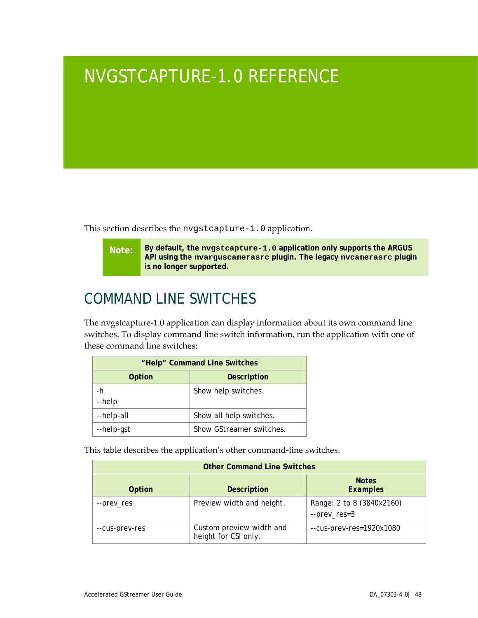## <span id="page-52-0"></span>NVGSTCAPTURE-1.0 REFERENCE

This section describes the nvgstcapture-1.0 application.

**Note: By default, the nvgstcapture-1.0 application only supports the ARGUS API using the nvarguscamerasrc plugin. The legacy nvcamerasrc plugin is no longer supported.**

## <span id="page-52-1"></span>COMMAND LINE SWITCHES

The nvgstcapture-1.0 application can display information about its own command line switches. To display command line switch information, run the application with one of these command line switches:

| "Help" Command Line Switches |                          |  |
|------------------------------|--------------------------|--|
| Option                       | Description              |  |
| -h<br>--help                 | Show help switches.      |  |
| --help-all                   | Show all help switches.  |  |
| --help-gst                   | Show GStreamer switches. |  |

This table describes the application's other command-line switches.

| <b>Other Command Line Switches</b> |                                                  |                                           |
|------------------------------------|--------------------------------------------------|-------------------------------------------|
| Option                             | Description                                      | <b>Notes</b><br><b>Examples</b>           |
| --prev_res                         | Preview width and height.                        | Range: 2 to 8 (3840x2160)<br>--prev_res=3 |
| --cus-prev-res                     | Custom preview width and<br>height for CSI only. | --cus-prev-res=1920x1080                  |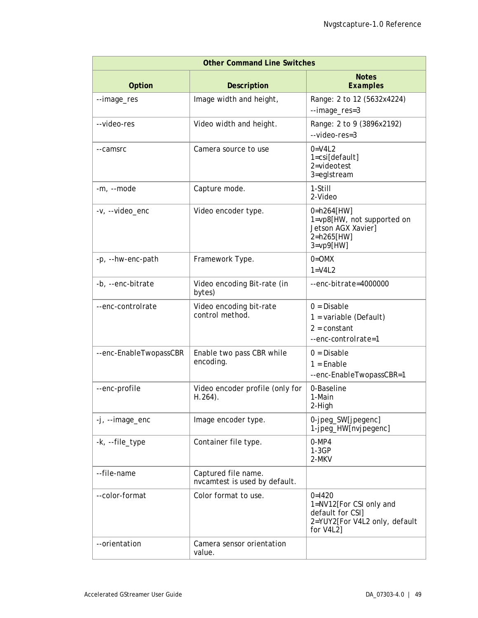| <b>Other Command Line Switches</b> |                                                      |                                                                                                       |
|------------------------------------|------------------------------------------------------|-------------------------------------------------------------------------------------------------------|
| Option                             | <b>Description</b>                                   | <b>Notes</b><br><b>Examples</b>                                                                       |
| --image_res                        | Image width and height,                              | Range: 2 to 12 (5632x4224)<br>--image_res=3                                                           |
| --video-res                        | Video width and height.                              | Range: 2 to 9 (3896x2192)<br>$-$ video-res=3                                                          |
| --camsrc                           | Camera source to use                                 | $0=V4L2$<br>1=csi[default]<br>2=videotest<br>3=eglstream                                              |
| -m, --mode                         | Capture mode.                                        | 1-Still<br>2-Video                                                                                    |
| -v, --video_enc                    | Video encoder type.                                  | 0=h264[HW]<br>1=vp8[HW, not supported on<br>Jetson AGX Xavier]<br>2=h265[HW]<br>$3 = vp9$ [HW]        |
| -p, --hw-enc-path                  | Framework Type.                                      | $0 = O$ MX<br>$1 = V4L2$                                                                              |
| -b, --enc-bitrate                  | Video encoding Bit-rate (in<br>bytes)                | --enc-bitrate=4000000                                                                                 |
| --enc-controlrate                  | Video encoding bit-rate<br>control method.           | $0 = Disable$<br>$1 =$ variable (Default)<br>$2 = constant$<br>--enc-controlrate=1                    |
| --enc-EnableTwopassCBR             | Enable two pass CBR while<br>encoding.               | $0 = Disable$<br>$1 =$ Enable<br>--enc-EnableTwopassCBR=1                                             |
| --enc-profile                      | Video encoder profile (only for<br>$H.264$ ).        | 0-Baseline<br>1-Main<br>2-High                                                                        |
| $-i$ , $-i$ mage_enc               | Image encoder type.                                  | 0-jpeg_SW[jpegenc]<br>1-jpeg_HW[nvjpegenc]                                                            |
| -k, --file_type                    | Container file type.                                 | $0-MP4$<br>$1-3GP$<br>2-MKV                                                                           |
| --file-name                        | Captured file name.<br>nvcamtest is used by default. |                                                                                                       |
| --color-format                     | Color format to use.                                 | $0=1420$<br>1=NV12[For CSI only and<br>default for CSI]<br>2=YUY2[For V4L2 only, default<br>for V4L2] |
| --orientation                      | Camera sensor orientation<br>value.                  |                                                                                                       |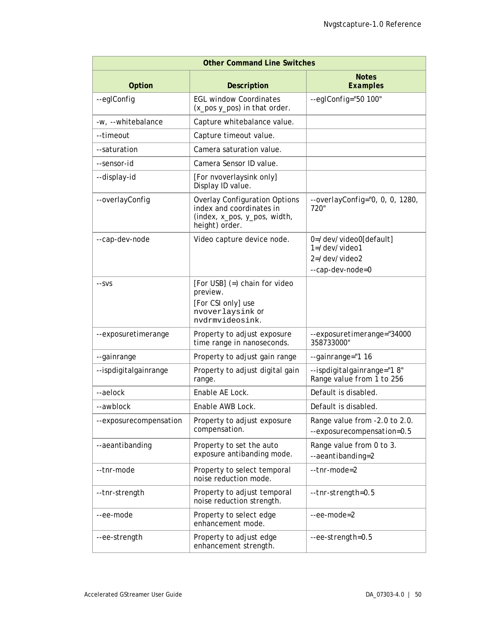| <b>Other Command Line Switches</b> |                                                                                                                    |                                                             |  |
|------------------------------------|--------------------------------------------------------------------------------------------------------------------|-------------------------------------------------------------|--|
| Option                             | <b>Description</b>                                                                                                 | <b>Notes</b><br><b>Examples</b>                             |  |
| --eglConfig                        | <b>EGL window Coordinates</b><br>(x_pos y_pos) in that order.                                                      | $-$ -eglConfig="50 100"                                     |  |
| -w, --whitebalance                 | Capture whitebalance value.                                                                                        |                                                             |  |
| --timeout                          | Capture timeout value.                                                                                             |                                                             |  |
| --saturation                       | Camera saturation value.                                                                                           |                                                             |  |
| --sensor-id                        | Camera Sensor ID value.                                                                                            |                                                             |  |
| --display-id                       | [For nvoverlaysink only]<br>Display ID value.                                                                      |                                                             |  |
| --overlayConfig                    | <b>Overlay Configuration Options</b><br>index and coordinates in<br>(index, x_pos, y_pos, width,<br>height) order. | $-overlayConfig="0, 0, 0, 1280,$<br>720"                    |  |
| --cap-dev-node                     | Video capture device node.                                                                                         | 0=/dev/video0[default]<br>1=/dev/video1                     |  |
|                                    |                                                                                                                    | $2 = /dev/video2$<br>--cap-dev-node=0                       |  |
| $-SVS$                             | [For USB] (=) chain for video<br>preview.<br>[For CSI only] use<br>nvoverlaysink Or<br>nvdrmvideosink.             |                                                             |  |
| --exposuretimerange                | Property to adjust exposure<br>time range in nanoseconds.                                                          | --exposuretimerange="34000<br>358733000"                    |  |
| --gainrange                        | Property to adjust gain range                                                                                      | --gainrange="1 16                                           |  |
| --ispdigitalgainrange              | Property to adjust digital gain<br>range.                                                                          | --ispdigitalgainrange="18"<br>Range value from 1 to 256     |  |
| --aelock                           | Enable AE Lock.                                                                                                    | Default is disabled.                                        |  |
| -awblock                           | Enable AWB Lock.                                                                                                   | Default is disabled.                                        |  |
| --exposurecompensation             | Property to adjust exposure<br>compensation.                                                                       | Range value from -2.0 to 2.0.<br>--exposurecompensation=0.5 |  |
| --aeantibanding                    | Property to set the auto<br>exposure antibanding mode.                                                             | Range value from 0 to 3.<br>--aeantibanding=2               |  |
| --tnr-mode                         | Property to select temporal<br>noise reduction mode.                                                               | $-tnr$ - $mode$ = $2$                                       |  |
| --tnr-strength                     | Property to adjust temporal<br>noise reduction strength.                                                           | --tnr-strength=0.5                                          |  |
| --ee-mode                          | Property to select edge<br>enhancement mode.                                                                       | $-ee$ -mode=2                                               |  |
| --ee-strength                      | Property to adjust edge<br>enhancement strength.                                                                   | --ee-strength=0.5                                           |  |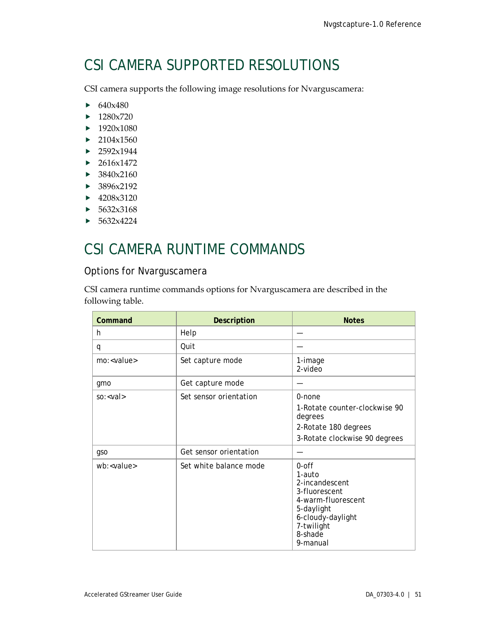## <span id="page-55-0"></span>CSI CAMERA SUPPORTED RESOLUTIONS

CSI camera supports the following image resolutions for Nvarguscamera:

- $\triangleright$  640x480
- $\blacktriangleright$  1280x720
- $\blacktriangleright$  1920x1080
- $\blacktriangleright$  2104x1560
- $\blacktriangleright$  2592x1944
- $\blacktriangleright$  2616x1472
- $\blacktriangleright$  3840x2160
- $\blacktriangleright$  3896x2192
- $\blacktriangleright$  4208x3120
- $\blacktriangleright$  5632x3168
- $\blacktriangleright$  5632x4224

### <span id="page-55-1"></span>CSI CAMERA RUNTIME COMMANDS

### Options for Nvarguscamera

CSI camera runtime commands options for Nvarguscamera are described in the following table.

| Command             | <b>Description</b>     | <b>Notes</b>                                                                                                                                        |
|---------------------|------------------------|-----------------------------------------------------------------------------------------------------------------------------------------------------|
| h.                  | Help                   |                                                                                                                                                     |
| q                   | Quit                   |                                                                                                                                                     |
| mo: <value></value> | Set capture mode       | 1-image<br>$2-video$                                                                                                                                |
| gmo                 | Get capture mode       |                                                                                                                                                     |
| $so: <$ val         | Set sensor orientation | 0-none<br>1-Rotate counter-clockwise 90<br>degrees<br>2-Rotate 180 degrees<br>3-Rotate clockwise 90 degrees                                         |
| gso                 | Get sensor orientation |                                                                                                                                                     |
| wb: < value>        | Set white balance mode | $0$ -off<br>1-auto<br>2-incandescent<br>3-fluorescent<br>4-warm-fluorescent<br>5-daylight<br>6-cloudy-daylight<br>7-twilight<br>8-shade<br>9-manual |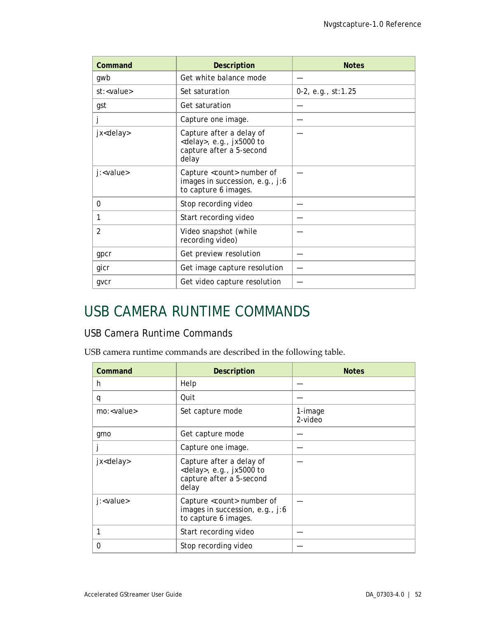| Command             | <b>Description</b>                                                                                  | <b>Notes</b>          |
|---------------------|-----------------------------------------------------------------------------------------------------|-----------------------|
| gwb                 | Get white balance mode                                                                              |                       |
| st: <value></value> | Set saturation                                                                                      | $0-2$ , e.g., st:1.25 |
| gst                 | Get saturation                                                                                      |                       |
|                     | Capture one image.                                                                                  |                       |
| jx <delay></delay>  | Capture after a delay of<br><delay>, e.g., jx5000 to<br/>capture after a 5-second<br/>delay</delay> |                       |
| j: <value></value>  | Capture <count> number of<br/>images in succession, e.g., j:6<br/>to capture 6 images.</count>      |                       |
| $\Omega$            | Stop recording video                                                                                |                       |
| 1                   | Start recording video                                                                               |                       |
| $\overline{2}$      | Video snapshot (while<br>recording video)                                                           |                       |
| gpcr                | Get preview resolution                                                                              |                       |
| gicr                | Get image capture resolution                                                                        |                       |
| gvcr                | Get video capture resolution                                                                        |                       |

### <span id="page-56-0"></span>USB CAMERA RUNTIME COMMANDS

### USB Camera Runtime Commands

USB camera runtime commands are described in the following table.

| Command             | <b>Description</b>                                                                                  | <b>Notes</b>       |
|---------------------|-----------------------------------------------------------------------------------------------------|--------------------|
| h                   | Help                                                                                                |                    |
| q                   | Quit                                                                                                |                    |
| mo: <value></value> | Set capture mode                                                                                    | 1-image<br>2-video |
| gmo                 | Get capture mode                                                                                    |                    |
|                     | Capture one image.                                                                                  |                    |
| jx <delay></delay>  | Capture after a delay of<br><delay>, e.g., jx5000 to<br/>capture after a 5-second<br/>delay</delay> |                    |
| j: <value></value>  | Capture <count> number of<br/>images in succession, e.g., j:6<br/>to capture 6 images.</count>      |                    |
| 1                   | Start recording video                                                                               |                    |
| O                   | Stop recording video                                                                                |                    |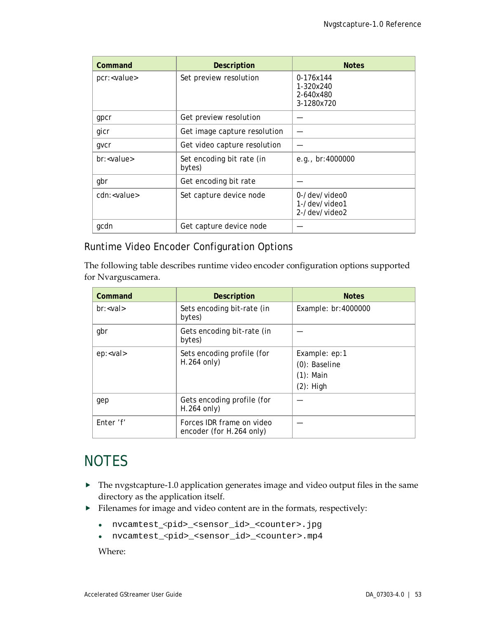| Command              | <b>Description</b>                  | <b>Notes</b>                                      |
|----------------------|-------------------------------------|---------------------------------------------------|
| pcr: <value></value> | Set preview resolution              | 0-176x144<br>1-320x240<br>2-640x480<br>3-1280x720 |
| gpcr                 | Get preview resolution              |                                                   |
| gicr                 | Get image capture resolution        |                                                   |
| gvcr                 | Get video capture resolution        |                                                   |
| br: < value>         | Set encoding bit rate (in<br>bytes) | e.g., $br:4000000$                                |
| gbr                  | Get encoding bit rate               |                                                   |
| cdn: <value></value> | Set capture device node             | 0-/dev/video0<br>1-/dev/video1<br>2-/dev/video2   |
| gcdn                 | Get capture device node             |                                                   |

### Runtime Video Encoder Configuration Options

The following table describes runtime video encoder configuration options supported for Nvarguscamera.

| Command         | <b>Description</b>                                    | <b>Notes</b>                                                      |
|-----------------|-------------------------------------------------------|-------------------------------------------------------------------|
| $br: < val$     | Sets encoding bit-rate (in<br>bytes)                  | Example: br:4000000                                               |
| gbr             | Gets encoding bit-rate (in<br>bytes)                  |                                                                   |
| ep: <val></val> | Sets encoding profile (for<br>$H.264$ only)           | Example: ep:1<br>$(0)$ : Baseline<br>$(1)$ : Main<br>$(2)$ : High |
| gep             | Gets encoding profile (for<br>$H.264$ only)           |                                                                   |
| Enter 'f'       | Forces IDR frame on video<br>encoder (for H.264 only) |                                                                   |

### <span id="page-57-0"></span>**NOTES**

- The nvgstcapture-1.0 application generates image and video output files in the same directory as the application itself.
- Filenames for image and video content are in the formats, respectively:
	- nvcamtest\_<pid>\_<sensor\_id>\_<counter>.jpg
	- nvcamtest\_<pid>\_<sensor\_id>\_<counter>.mp4

Where: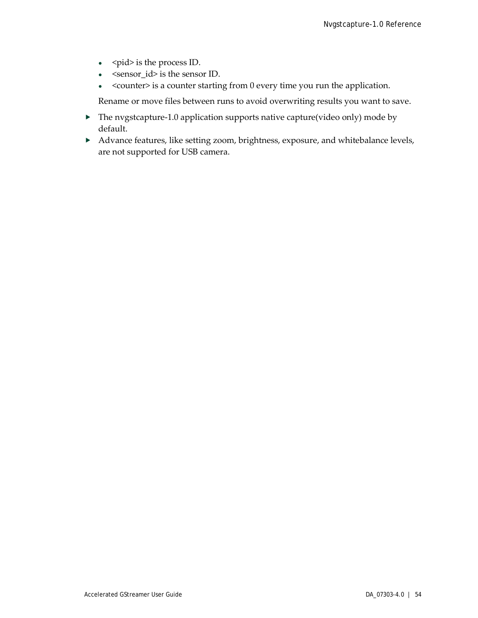- <pid> is the process ID.
- <sensor\_id> is the sensor ID.
- <counter> is a counter starting from 0 every time you run the application.

Rename or move files between runs to avoid overwriting results you want to save.

- $\blacktriangleright$  The nvgstcapture-1.0 application supports native capture(video only) mode by default.
- Advance features, like setting zoom, brightness, exposure, and whitebalance levels, are not supported for USB camera.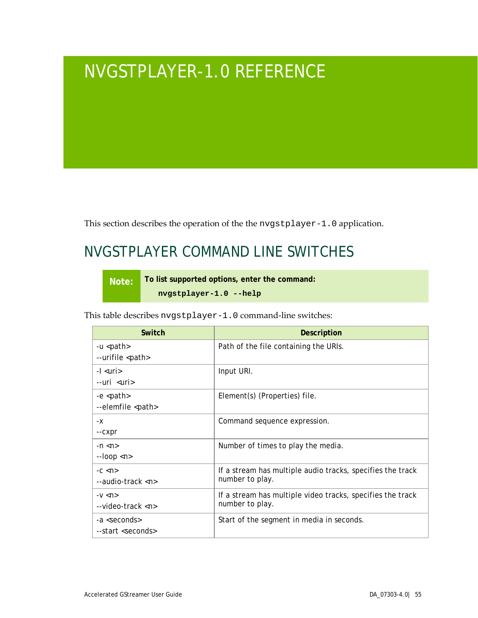## <span id="page-59-0"></span>NVGSTPLAYER-1.0 REFERENCE

This section describes the operation of the the nvgstplayer-1.0 application.

### <span id="page-59-1"></span>NVGSTPLAYER COMMAND LINE SWITCHES

**Note: To list supported options, enter the command:**

**nvgstplayer-1.0 --help**

This table describes nvgstplayer-1.0 command-line switches:

| Switch                                                 | Description                                                                   |
|--------------------------------------------------------|-------------------------------------------------------------------------------|
| -u <path><br/>--urifile <path></path></path>           | Path of the file containing the URIs.                                         |
| -I <uri><br/>--uri <uri></uri></uri>                   | Input URI.                                                                    |
| -e <path><br/>--elemfile <path></path></path>          | Element(s) (Properties) file.                                                 |
| -х<br>--CXpr                                           | Command sequence expression.                                                  |
| $-n \lt n$<br>$-$ loop $\langle n \rangle$             | Number of times to play the media.                                            |
| $-C \lt P$<br>$-$ audio-track $\langle n \rangle$      | If a stream has multiple audio tracks, specifies the track<br>number to play. |
| $-V < n$<br>$-$ video-track $\langle n \rangle$        | If a stream has multiple video tracks, specifies the track<br>number to play. |
| -a <seconds><br/>--start <seconds></seconds></seconds> | Start of the segment in media in seconds.                                     |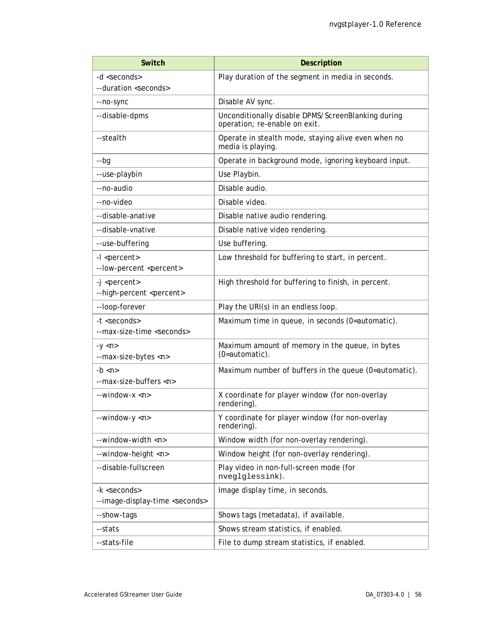| <b>Switch</b>                                                       | <b>Description</b>                                                                  |  |
|---------------------------------------------------------------------|-------------------------------------------------------------------------------------|--|
| -d <seconds></seconds>                                              | Play duration of the segment in media in seconds.                                   |  |
| --duration <seconds></seconds>                                      |                                                                                     |  |
| --no-sync                                                           | Disable AV sync.                                                                    |  |
| --disable-dpms                                                      | Unconditionally disable DPMS/ScreenBlanking during<br>operation; re-enable on exit. |  |
| --stealth                                                           | Operate in stealth mode, staying alive even when no<br>media is playing.            |  |
| $-$ bg                                                              | Operate in background mode, ignoring keyboard input.                                |  |
| --use-playbin                                                       | Use Playbin.                                                                        |  |
| --no-audio                                                          | Disable audio.                                                                      |  |
| --no-video                                                          | Disable video.                                                                      |  |
| --disable-anative                                                   | Disable native audio rendering.                                                     |  |
| --disable-vnative                                                   | Disable native video rendering.                                                     |  |
| --use-buffering                                                     | Use buffering.                                                                      |  |
| -I <percent><br/>--low-percent <percent></percent></percent>        | Low threshold for buffering to start, in percent.                                   |  |
| -j <percent><br/>--high-percent <percent></percent></percent>       | High threshold for buffering to finish, in percent.                                 |  |
| --loop-forever                                                      | Play the URI(s) in an endless loop.                                                 |  |
| -t <seconds><br/>--max-size-time <seconds></seconds></seconds>      | Maximum time in queue, in seconds (0=automatic).                                    |  |
| $-y$ $\langle n \rangle$<br>--max-size-bytes <n></n>                | Maximum amount of memory in the queue, in bytes<br>(0=automatic).                   |  |
| -b $\langle n \rangle$<br>--max-size-buffers <n></n>                | Maximum number of buffers in the queue (0=automatic).                               |  |
| $-$ window- $x < n$                                                 | X coordinate for player window (for non-overlay<br>rendering).                      |  |
| --window-y <n></n>                                                  | Y coordinate for player window (for non-overlay<br>rendering).                      |  |
| --window-width <n></n>                                              | Window width (for non-overlay rendering).                                           |  |
| --window-height <n></n>                                             | Window height (for non-overlay rendering).                                          |  |
| --disable-fullscreen                                                | Play video in non-full-screen mode (for<br>nveglglessink).                          |  |
| -k <seconds><br/>--image-display-time <seconds></seconds></seconds> | Image display time, in seconds.                                                     |  |
| --show-tags                                                         | Shows tags (metadata), if available.                                                |  |
| --stats                                                             | Shows stream statistics, if enabled.                                                |  |
| --stats-file                                                        | File to dump stream statistics, if enabled.                                         |  |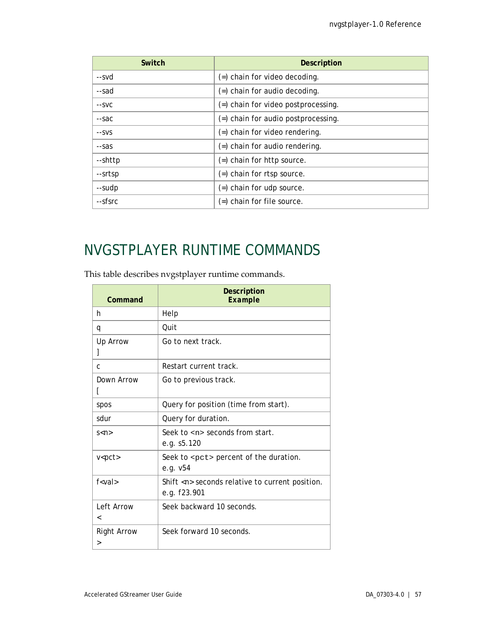| Switch  | <b>Description</b>                     |  |
|---------|----------------------------------------|--|
| --svd   | $($ =) chain for video decoding.       |  |
| --sad   | $($ =) chain for audio decoding.       |  |
| --SVC   | (=) chain for video postprocessing.    |  |
| --sac   | $($ =) chain for audio postprocessing. |  |
| --SVS   | $($ =) chain for video rendering.      |  |
| --sas   | $($ =) chain for audio rendering.      |  |
| --shttp | $($ =) chain for http source.          |  |
| --srtsp | (=) chain for rtsp source.             |  |
| --sudp  | $($ =) chain for udp source.           |  |
| --sfsrc | $($ =) chain for file source.          |  |

### <span id="page-61-0"></span>NVGSTPLAYER RUNTIME COMMANDS

This table describes nvgstplayer runtime commands.

| Command                 | <b>Description</b><br>Example                                          |
|-------------------------|------------------------------------------------------------------------|
| h                       | Help                                                                   |
| q                       | Ouit                                                                   |
| Up Arrow                | Go to next track.                                                      |
| C                       | Restart current track.                                                 |
| Down Arrow              | Go to previous track.                                                  |
| spos                    | Query for position (time from start).                                  |
| sdur                    | Query for duration.                                                    |
| s < n >                 | Seek to $\langle n \rangle$ seconds from start.<br>e.g. s5.120         |
| $v<$ pct $>$            | Seek to <pct> percent of the duration.<br/>e.g. <math>v54</math></pct> |
| $f<$ val $>$            | Shift <n> seconds relative to current position.<br/>e.g. f23.901</n>   |
| Left Arrow<br>≺         | Seek backward 10 seconds.                                              |
| <b>Right Arrow</b><br>> | Seek forward 10 seconds.                                               |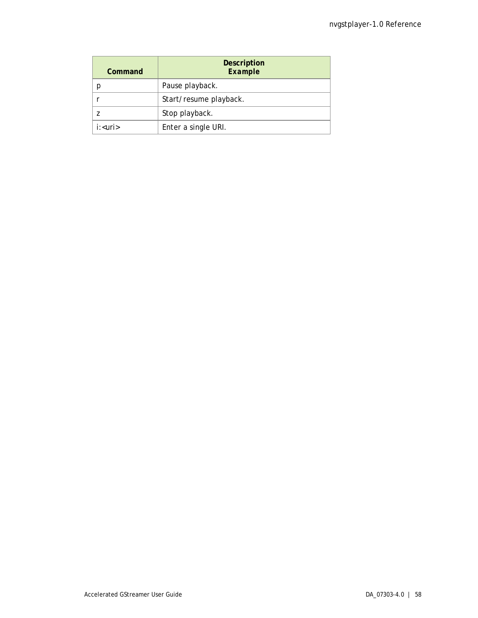| Command                        | <b>Description</b><br>Example |
|--------------------------------|-------------------------------|
|                                | Pause playback.               |
|                                | Start/resume playback.        |
|                                | Stop playback.                |
| $i:$ <uri<math>&gt;</uri<math> | Enter a single URI.           |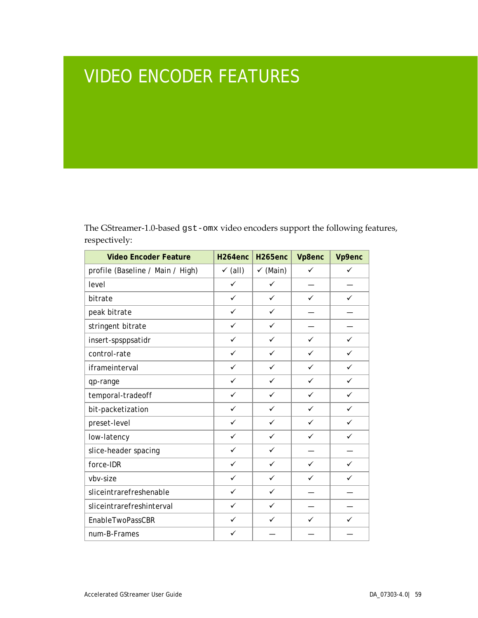# <span id="page-63-0"></span>VIDEO ENCODER FEATURES

The GStreamer-1.0-based gst-omx video encoders support the following features, respectively:

| <b>Video Encoder Feature</b>     | H <sub>264</sub> enc | H <sub>265enc</sub> | Vp8enc       | Vp9enc       |
|----------------------------------|----------------------|---------------------|--------------|--------------|
| profile (Baseline / Main / High) | $\checkmark$ (all)   | $\checkmark$ (Main) | ✓            | ✓            |
| level                            | $\checkmark$         | $\checkmark$        |              |              |
| bitrate                          | $\checkmark$         | ✓                   | ✓            | ✓            |
| peak bitrate                     | ✓                    | ✓                   |              |              |
| stringent bitrate                | ✓                    | ✓                   |              |              |
| insert-spsppsatidr               | $\checkmark$         | $\checkmark$        | $\checkmark$ | ✓            |
| control-rate                     | $\checkmark$         | ✓                   | ✓            | ✓            |
| iframeinterval                   | $\checkmark$         | $\checkmark$        | $\checkmark$ | ✓            |
| qp-range                         | $\checkmark$         | ✓                   | ✓            | ✓            |
| temporal-tradeoff                | $\checkmark$         | ✓                   | $\checkmark$ | ✓            |
| bit-packetization                | ✓                    | ✓                   | ✓            | ✓            |
| preset-level                     | $\checkmark$         | ✓                   | ✓            | $\checkmark$ |
| low-latency                      | ✓                    | ✓                   | ✓            | ✓            |
| slice-header spacing             | ✓                    | ✓                   |              |              |
| force-IDR                        | $\checkmark$         | ✓                   | ✓            | ✓            |
| vbv-size                         | ✓                    | ✓                   | ✓            | ✓            |
| sliceintrarefreshenable          | $\checkmark$         | ✓                   |              |              |
| sliceintrarefreshinterval        | ✓                    | ✓                   |              |              |
| EnableTwoPassCBR                 | $\checkmark$         | ✓                   | ✓            | ✓            |
| num-B-Frames                     | ✓                    |                     |              |              |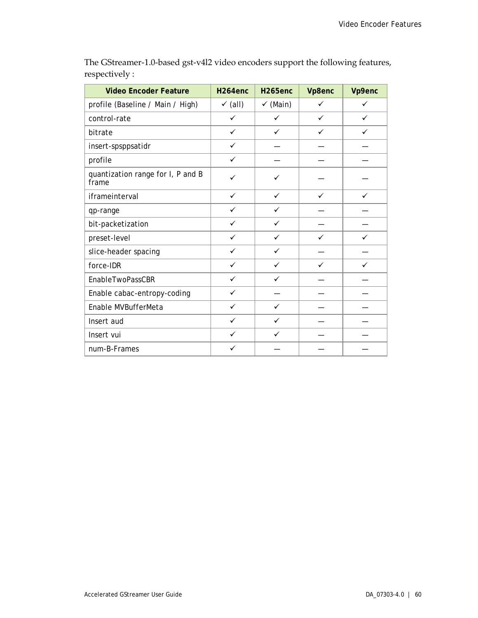| <b>Video Encoder Feature</b>               | H <sub>264enc</sub> | <b>H265enc</b>      | Vp8enc | Vp9enc |
|--------------------------------------------|---------------------|---------------------|--------|--------|
| profile (Baseline / Main / High)           | $\checkmark$ (all)  | $\checkmark$ (Main) | ✓      | ✓      |
| control-rate                               | $\checkmark$        | ✓                   | ✓      | ✓      |
| bitrate                                    | $\checkmark$        | ✓                   | ✓      |        |
| insert-spsppsatidr                         | $\checkmark$        |                     |        |        |
| profile                                    | $\checkmark$        |                     |        |        |
| quantization range for I, P and B<br>frame | ✓                   | ✓                   |        |        |
| iframeinterval                             | $\checkmark$        | $\checkmark$        | ✓      | ✓      |
| qp-range                                   | $\checkmark$        | $\checkmark$        |        |        |
| bit-packetization                          | $\checkmark$        | $\checkmark$        |        |        |
| preset-level                               | $\checkmark$        | $\checkmark$        | ✓      | ✓      |
| slice-header spacing                       | $\checkmark$        | $\checkmark$        |        |        |
| force-IDR                                  | $\checkmark$        | $\checkmark$        | ✓      | ✓      |
| EnableTwoPassCBR                           | $\checkmark$        | ✓                   |        |        |
| Enable cabac-entropy-coding                | ✓                   |                     |        |        |
| Enable MVBufferMeta                        | $\checkmark$        | ✓                   |        |        |
| Insert aud                                 | $\checkmark$        | ✓                   |        |        |
| Insert vui                                 | $\checkmark$        | ✓                   |        |        |
| num-B-Frames                               | $\checkmark$        |                     |        |        |

The GStreamer-1.0-based gst-v4l2 video encoders support the following features, respectively :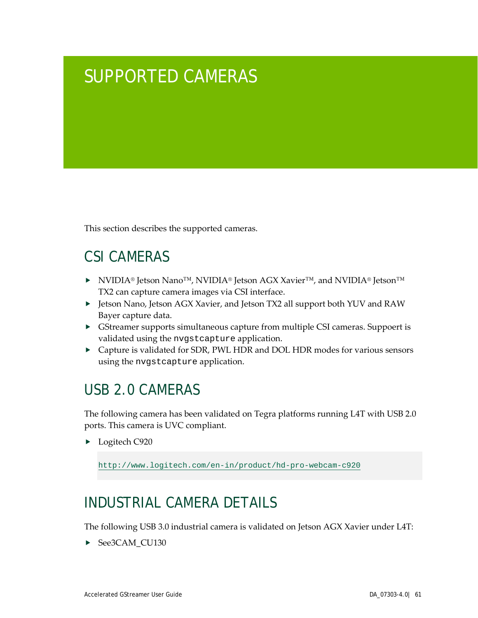## <span id="page-65-0"></span>SUPPORTED CAMERAS

This section describes the supported cameras.

### <span id="page-65-1"></span>CSI CAMERAS

- NVIDIA® Jetson Nano™, NVIDIA® Jetson AGX Xavier™, and NVIDIA® Jetson™ TX2 can capture camera images via CSI interface.
- Jetson Nano, Jetson AGX Xavier, and Jetson TX2 all support both YUV and RAW Bayer capture data.
- GStreamer supports simultaneous capture from multiple CSI cameras. Suppoert is validated using the nvgstcapture application.
- Capture is validated for SDR, PWL HDR and DOL HDR modes for various sensors using the nvgstcapture application.

### <span id="page-65-2"></span>USB 2.0 CAMERAS

The following camera has been validated on Tegra platforms running L4T with USB 2.0 ports. This camera is UVC compliant.

▶ Logitech C920

<http://www.logitech.com/en-in/product/hd-pro-webcam-c920>

### <span id="page-65-3"></span>INDUSTRIAL CAMERA DETAILS

The following USB 3.0 industrial camera is validated on Jetson AGX Xavier under L4T:

▶ See3CAM\_CU130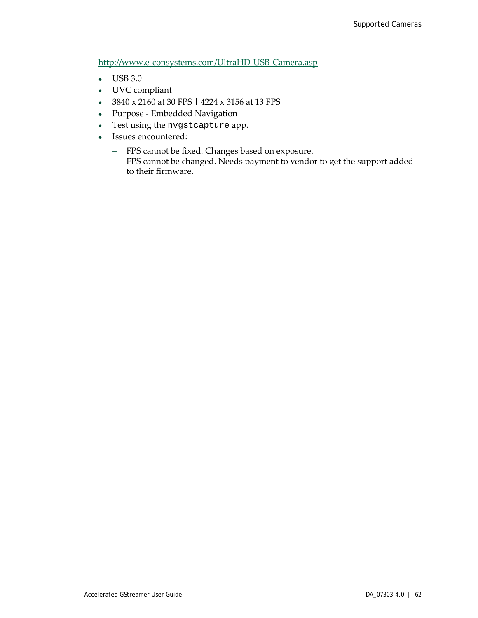<http://www.e-consystems.com/UltraHD-USB-Camera.asp>

- USB 3.0
- UVC compliant
- 3840 x 2160 at 30 FPS | 4224 x 3156 at 13 FPS
- Purpose Embedded Navigation
- Test using the nvgstcapture app.
- Issues encountered:
	- **―** FPS cannot be fixed. Changes based on exposure.
	- **―** FPS cannot be changed. Needs payment to vendor to get the support added to their firmware.